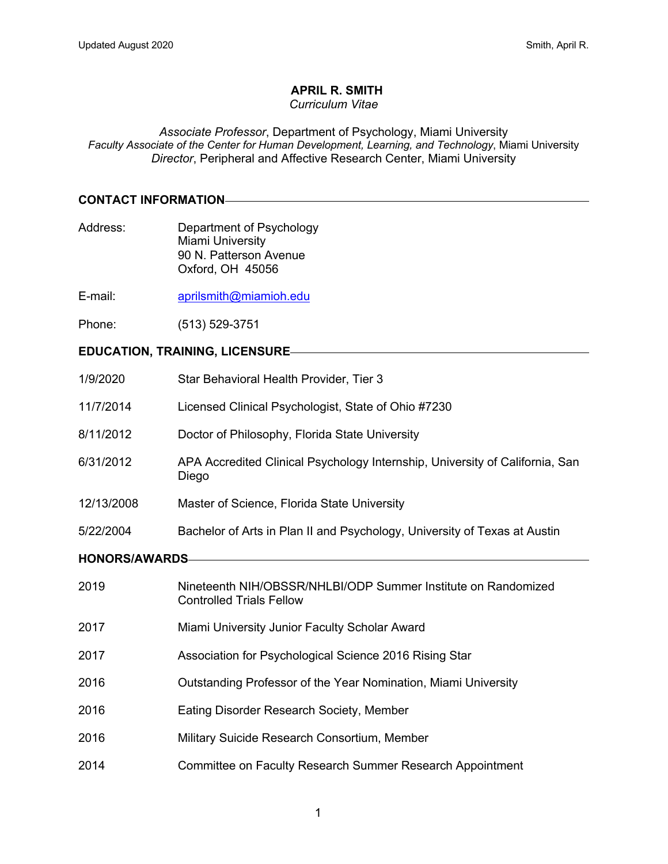# **APRIL R. SMITH**

#### *Curriculum Vitae*

*Associate Professor*, Department of Psychology, Miami University *Faculty Associate of the Center for Human Development, Learning, and Technology*, Miami University *Director*, Peripheral and Affective Research Center, Miami University

#### **CONTACT INFORMATION**

- Address: Department of Psychology Miami University 90 N. Patterson Avenue Oxford, OH 45056
- E-mail: aprilsmith@miamioh.edu
- Phone: (513) 529-3751

# **EDUCATION, TRAINING, LICENSURE**

| 1/9/2020              | Star Behavioral Health Provider, Tier 3                                                          |
|-----------------------|--------------------------------------------------------------------------------------------------|
| 11/7/2014             | Licensed Clinical Psychologist, State of Ohio #7230                                              |
| 8/11/2012             | Doctor of Philosophy, Florida State University                                                   |
| 6/31/2012             | APA Accredited Clinical Psychology Internship, University of California, San<br>Diego            |
| 12/13/2008            | Master of Science, Florida State University                                                      |
| 5/22/2004             | Bachelor of Arts in Plan II and Psychology, University of Texas at Austin                        |
| <b>HONORS/AWARDS-</b> |                                                                                                  |
| 2019                  | Nineteenth NIH/OBSSR/NHLBI/ODP Summer Institute on Randomized<br><b>Controlled Trials Fellow</b> |
| 2017                  | Miami University Junior Faculty Scholar Award                                                    |
| 2017                  | Association for Psychological Science 2016 Rising Star                                           |
| 2016                  | Outstanding Professor of the Year Nomination, Miami University                                   |
| 2016                  | Eating Disorder Research Society, Member                                                         |

- 2016 Military Suicide Research Consortium, Member
- 2014 Committee on Faculty Research Summer Research Appointment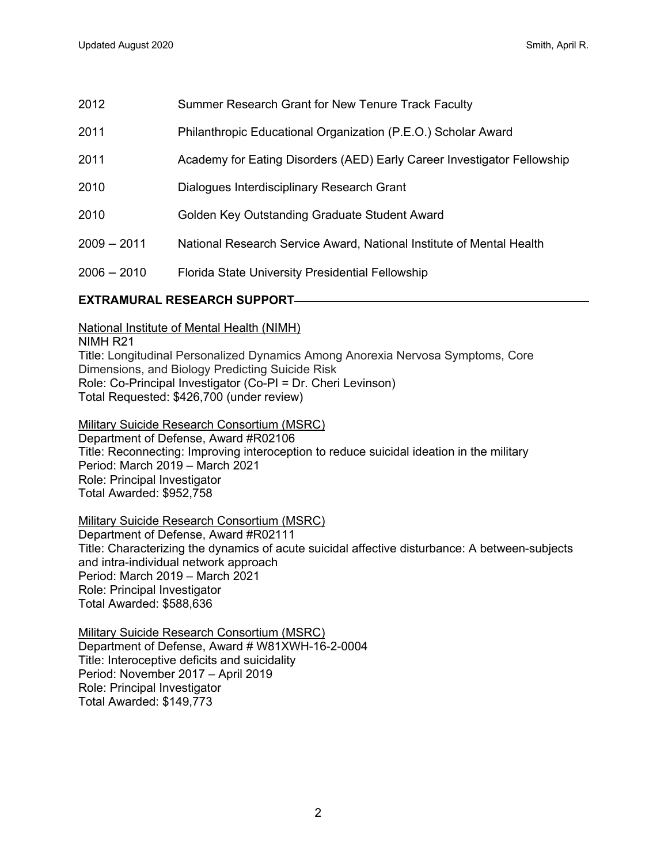| 2012 | Summer Research Grant for New Tenure Track Faculty |
|------|----------------------------------------------------|
|      |                                                    |

- 2011 Philanthropic Educational Organization (P.E.O.) Scholar Award
- 2011 Academy for Eating Disorders (AED) Early Career Investigator Fellowship
- 2010 Dialogues Interdisciplinary Research Grant
- 2010 Golden Key Outstanding Graduate Student Award
- 2009 2011 National Research Service Award, National Institute of Mental Health
- 2006 2010 Florida State University Presidential Fellowship

# **EXTRAMURAL RESEARCH SUPPORT**

National Institute of Mental Health (NIMH)

NIMH R21 Title: Longitudinal Personalized Dynamics Among Anorexia Nervosa Symptoms, Core Dimensions, and Biology Predicting Suicide Risk Role: Co-Principal Investigator (Co-PI = Dr. Cheri Levinson) Total Requested: \$426,700 (under review)

Military Suicide Research Consortium (MSRC) Department of Defense, Award #R02106 Title: Reconnecting: Improving interoception to reduce suicidal ideation in the military Period: March 2019 – March 2021 Role: Principal Investigator Total Awarded: \$952,758

Military Suicide Research Consortium (MSRC) Department of Defense, Award #R02111 Title: Characterizing the dynamics of acute suicidal affective disturbance: A between-subjects and intra-individual network approach Period: March 2019 – March 2021 Role: Principal Investigator Total Awarded: \$588,636

Military Suicide Research Consortium (MSRC) Department of Defense, Award # W81XWH-16-2-0004 Title: Interoceptive deficits and suicidality Period: November 2017 – April 2019 Role: Principal Investigator Total Awarded: \$149,773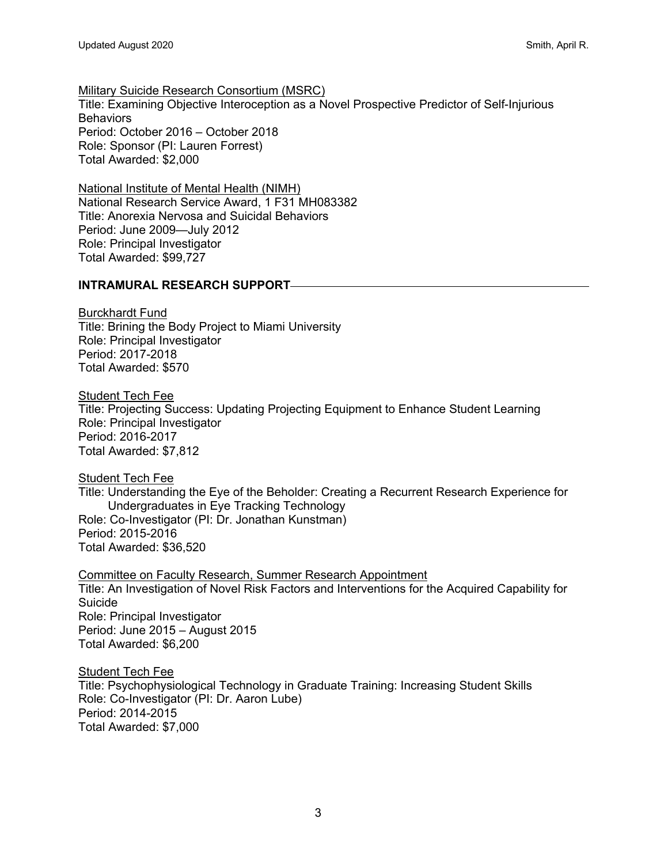Military Suicide Research Consortium (MSRC) Title: Examining Objective Interoception as a Novel Prospective Predictor of Self-Injurious **Behaviors** Period: October 2016 – October 2018 Role: Sponsor (PI: Lauren Forrest) Total Awarded: \$2,000

National Institute of Mental Health (NIMH) National Research Service Award, 1 F31 MH083382 Title: Anorexia Nervosa and Suicidal Behaviors Period: June 2009—July 2012 Role: Principal Investigator Total Awarded: \$99,727

## **INTRAMURAL RESEARCH SUPPORT**

Burckhardt Fund Title: Brining the Body Project to Miami University Role: Principal Investigator Period: 2017-2018 Total Awarded: \$570

**Student Tech Fee** Title: Projecting Success: Updating Projecting Equipment to Enhance Student Learning Role: Principal Investigator Period: 2016-2017 Total Awarded: \$7,812

**Student Tech Fee** Title: Understanding the Eye of the Beholder: Creating a Recurrent Research Experience for Undergraduates in Eye Tracking Technology Role: Co-Investigator (PI: Dr. Jonathan Kunstman) Period: 2015-2016 Total Awarded: \$36,520

Committee on Faculty Research, Summer Research Appointment Title: An Investigation of Novel Risk Factors and Interventions for the Acquired Capability for Suicide Role: Principal Investigator Period: June 2015 – August 2015 Total Awarded: \$6,200

**Student Tech Fee** Title: Psychophysiological Technology in Graduate Training: Increasing Student Skills Role: Co-Investigator (PI: Dr. Aaron Lube) Period: 2014-2015 Total Awarded: \$7,000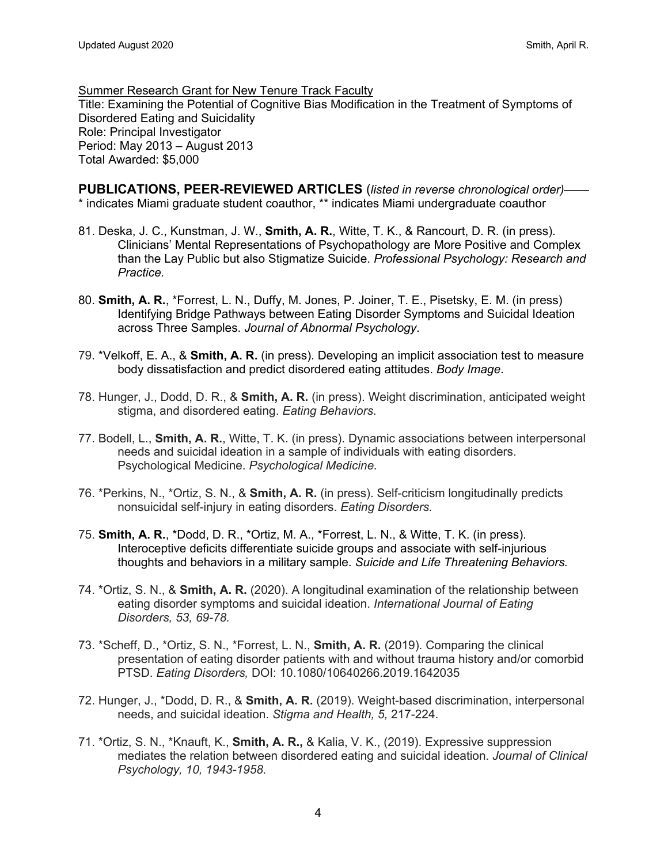Summer Research Grant for New Tenure Track Faculty Title: Examining the Potential of Cognitive Bias Modification in the Treatment of Symptoms of Disordered Eating and Suicidality Role: Principal Investigator Period: May 2013 – August 2013 Total Awarded: \$5,000

**PUBLICATIONS, PEER-REVIEWED ARTICLES** (*listed in reverse chronological order)* \* indicates Miami graduate student coauthor, \*\* indicates Miami undergraduate coauthor

- 81. Deska, J. C., Kunstman, J. W., **Smith, A. R.**, Witte, T. K., & Rancourt, D. R. (in press). Clinicians' Mental Representations of Psychopathology are More Positive and Complex than the Lay Public but also Stigmatize Suicide. *Professional Psychology: Research and Practice.*
- 80. **Smith, A. R.**, \*Forrest, L. N., Duffy, M. Jones, P. Joiner, T. E., Pisetsky, E. M. (in press) Identifying Bridge Pathways between Eating Disorder Symptoms and Suicidal Ideation across Three Samples. *Journal of Abnormal Psychology*.
- 79. \*Velkoff, E. A., & **Smith, A. R.** (in press). Developing an implicit association test to measure body dissatisfaction and predict disordered eating attitudes. *Body Image*.
- 78. Hunger, J., Dodd, D. R., & **Smith, A. R.** (in press). Weight discrimination, anticipated weight stigma, and disordered eating. *Eating Behaviors*.
- 77. Bodell, L., **Smith, A. R.**, Witte, T. K. (in press). Dynamic associations between interpersonal needs and suicidal ideation in a sample of individuals with eating disorders. Psychological Medicine. *Psychological Medicine*.
- 76. \*Perkins, N., \*Ortiz, S. N., & **Smith, A. R.** (in press). Self-criticism longitudinally predicts nonsuicidal self-injury in eating disorders. *Eating Disorders.*
- 75. **Smith, A. R.**, \*Dodd, D. R., \*Ortiz, M. A., \*Forrest, L. N., & Witte, T. K. (in press). Interoceptive deficits differentiate suicide groups and associate with self-injurious thoughts and behaviors in a military sample. *Suicide and Life Threatening Behaviors.*
- 74. \*Ortiz, S. N., & **Smith, A. R.** (2020). A longitudinal examination of the relationship between eating disorder symptoms and suicidal ideation. *International Journal of Eating Disorders, 53, 69-78.*
- 73. \*Scheff, D., \*Ortiz, S. N., \*Forrest, L. N., **Smith, A. R.** (2019). Comparing the clinical presentation of eating disorder patients with and without trauma history and/or comorbid PTSD. *Eating Disorders,* DOI: 10.1080/10640266.2019.1642035
- 72. Hunger, J., \*Dodd, D. R., & **Smith, A. R.** (2019). Weight-based discrimination, interpersonal needs, and suicidal ideation. *Stigma and Health, 5,* 217-224.
- 71. \*Ortiz, S. N., \*Knauft, K., **Smith, A. R.,** & Kalia, V. K., (2019). Expressive suppression mediates the relation between disordered eating and suicidal ideation. *Journal of Clinical Psychology, 10, 1943-1958.*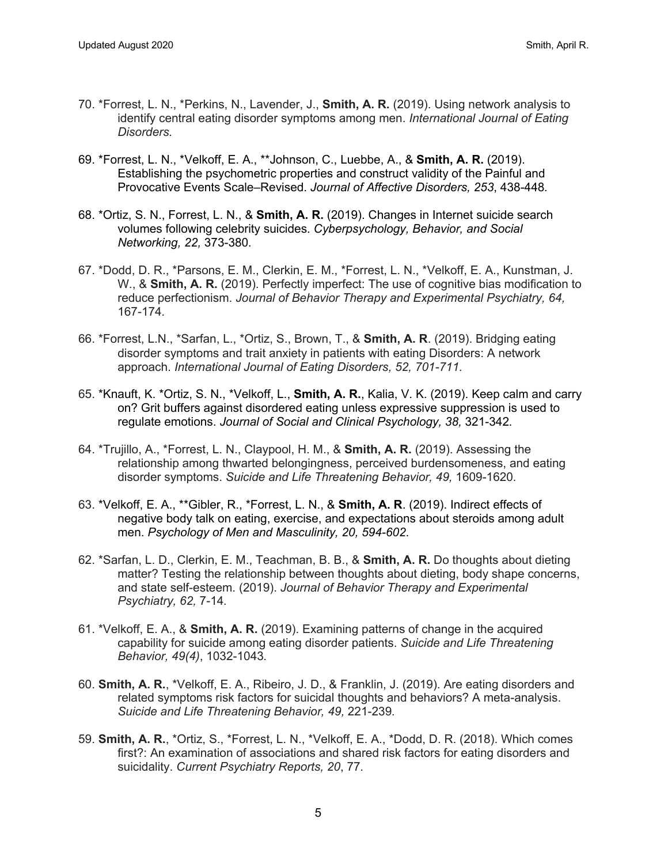- 70. \*Forrest, L. N., \*Perkins, N., Lavender, J., **Smith, A. R.** (2019). Using network analysis to identify central eating disorder symptoms among men. *International Journal of Eating Disorders.*
- 69. \*Forrest, L. N., \*Velkoff, E. A., \*\*Johnson, C., Luebbe, A., & **Smith, A. R.** (2019). Establishing the psychometric properties and construct validity of the Painful and Provocative Events Scale–Revised. *Journal of Affective Disorders, 253*, 438-448*.*
- 68. \*Ortiz, S. N., Forrest, L. N., & **Smith, A. R.** (2019). Changes in Internet suicide search volumes following celebrity suicides. *Cyberpsychology, Behavior, and Social Networking, 22,* 373-380*.*
- 67. \*Dodd, D. R., \*Parsons, E. M., Clerkin, E. M., \*Forrest, L. N., \*Velkoff, E. A., Kunstman, J. W., & **Smith, A. R.** (2019). Perfectly imperfect: The use of cognitive bias modification to reduce perfectionism. *Journal of Behavior Therapy and Experimental Psychiatry, 64,*  167-174*.*
- 66. \*Forrest, L.N., \*Sarfan, L., \*Ortiz, S., Brown, T., & **Smith, A. R**. (2019). Bridging eating disorder symptoms and trait anxiety in patients with eating Disorders: A network approach. *International Journal of Eating Disorders, 52, 701-711.*
- 65. \*Knauft, K. \*Ortiz, S. N., \*Velkoff, L., **Smith, A. R.**, Kalia, V. K. (2019). Keep calm and carry on? Grit buffers against disordered eating unless expressive suppression is used to regulate emotions. *Journal of Social and Clinical Psychology, 38,* 321-342*.*
- 64. \*Trujillo, A., \*Forrest, L. N., Claypool, H. M., & **Smith, A. R.** (2019). Assessing the relationship among thwarted belongingness, perceived burdensomeness, and eating disorder symptoms. *Suicide and Life Threatening Behavior, 49,* 1609-1620*.*
- 63. \*Velkoff, E. A., \*\*Gibler, R., \*Forrest, L. N., & **Smith, A. R**. (2019). Indirect effects of negative body talk on eating, exercise, and expectations about steroids among adult men. *Psychology of Men and Masculinity, 20, 594-602*.
- 62. \*Sarfan, L. D., Clerkin, E. M., Teachman, B. B., & **Smith, A. R.** Do thoughts about dieting matter? Testing the relationship between thoughts about dieting, body shape concerns, and state self-esteem. (2019). *Journal of Behavior Therapy and Experimental Psychiatry, 62,* 7-14*.*
- 61. \*Velkoff, E. A., & **Smith, A. R.** (2019). Examining patterns of change in the acquired capability for suicide among eating disorder patients. *Suicide and Life Threatening Behavior, 49(4)*, 1032-1043*.*
- 60. **Smith, A. R.**, \*Velkoff, E. A., Ribeiro, J. D., & Franklin, J. (2019). Are eating disorders and related symptoms risk factors for suicidal thoughts and behaviors? A meta-analysis. *Suicide and Life Threatening Behavior, 49,* 221-239*.*
- 59. **Smith, A. R.**, \*Ortiz, S., \*Forrest, L. N., \*Velkoff, E. A., \*Dodd, D. R. (2018). Which comes first?: An examination of associations and shared risk factors for eating disorders and suicidality. *Current Psychiatry Reports, 20*, 77*.*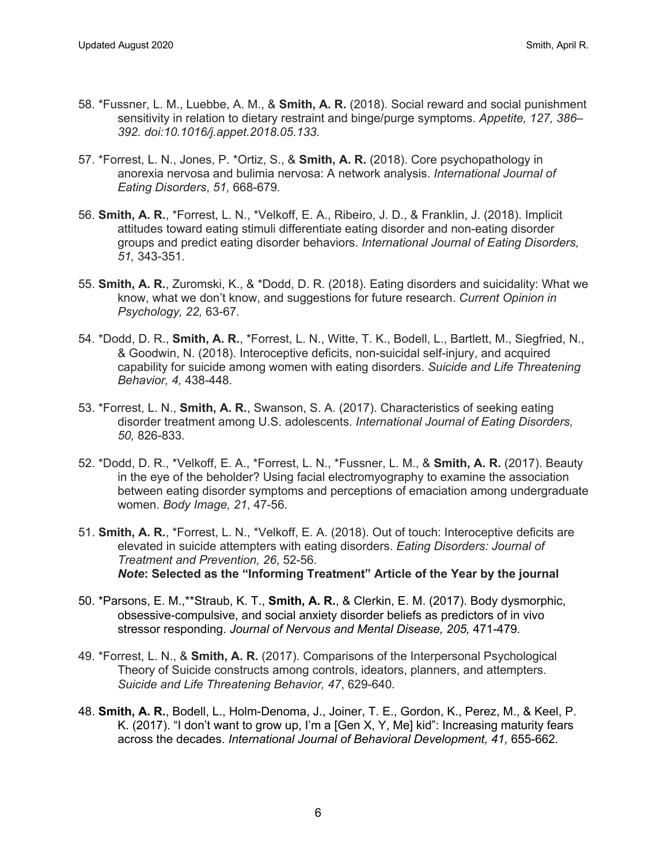- 58. \*Fussner, L. M., Luebbe, A. M., & **Smith, A. R.** (2018). Social reward and social punishment sensitivity in relation to dietary restraint and binge/purge symptoms. *Appetite, 127, 386– 392. doi:10.1016/j.appet.2018.05.133.*
- 57. \*Forrest, L. N., Jones, P. \*Ortiz, S., & **Smith, A. R.** (2018). Core psychopathology in anorexia nervosa and bulimia nervosa: A network analysis. *International Journal of Eating Disorders*, *51,* 668-679*.*
- 56. **Smith, A. R.**, \*Forrest, L. N., \*Velkoff, E. A., Ribeiro, J. D., & Franklin, J. (2018). Implicit attitudes toward eating stimuli differentiate eating disorder and non-eating disorder groups and predict eating disorder behaviors. *International Journal of Eating Disorders, 51,* 343-351*.*
- 55. **Smith, A. R.**, Zuromski, K., & \*Dodd, D. R. (2018). Eating disorders and suicidality: What we know, what we don't know, and suggestions for future research. *Current Opinion in Psychology, 22,* 63-67*.*
- 54. \*Dodd, D. R., **Smith, A. R.**, \*Forrest, L. N., Witte, T. K., Bodell, L., Bartlett, M., Siegfried, N., & Goodwin, N. (2018). Interoceptive deficits, non-suicidal self-injury, and acquired capability for suicide among women with eating disorders. *Suicide and Life Threatening Behavior, 4,* 438-448.
- 53. \*Forrest, L. N., **Smith, A. R.**, Swanson, S. A. (2017). Characteristics of seeking eating disorder treatment among U.S. adolescents. *International Journal of Eating Disorders, 50,* 826-833*.*
- 52. \*Dodd, D. R., \*Velkoff, E. A., \*Forrest, L. N., \*Fussner, L. M., & **Smith, A. R.** (2017). Beauty in the eye of the beholder? Using facial electromyography to examine the association between eating disorder symptoms and perceptions of emaciation among undergraduate women. *Body Image, 21*, 47-56*.*
- 51. **Smith, A. R.**, \*Forrest, L. N., \*Velkoff, E. A. (2018). Out of touch: Interoceptive deficits are elevated in suicide attempters with eating disorders. *Eating Disorders: Journal of Treatment and Prevention, 26*, 52-56*. Note***: Selected as the "Informing Treatment" Article of the Year by the journal**
- 50. \*Parsons, E. M.,\*\*Straub, K. T., **Smith, A. R.**, & Clerkin, E. M. (2017). Body dysmorphic, obsessive-compulsive, and social anxiety disorder beliefs as predictors of in vivo stressor responding. *Journal of Nervous and Mental Disease, 205,* 471-479*.*
- 49. \*Forrest, L. N., & **Smith, A. R.** (2017). Comparisons of the Interpersonal Psychological Theory of Suicide constructs among controls, ideators, planners, and attempters. *Suicide and Life Threatening Behavior, 47*, 629-640*.*
- 48. **Smith, A. R.**, Bodell, L., Holm-Denoma, J., Joiner, T. E., Gordon, K., Perez, M., & Keel, P. K. (2017). "I don't want to grow up, I'm a [Gen X, Y, Me] kid": Increasing maturity fears across the decades. *International Journal of Behavioral Development, 41,* 655-662*.*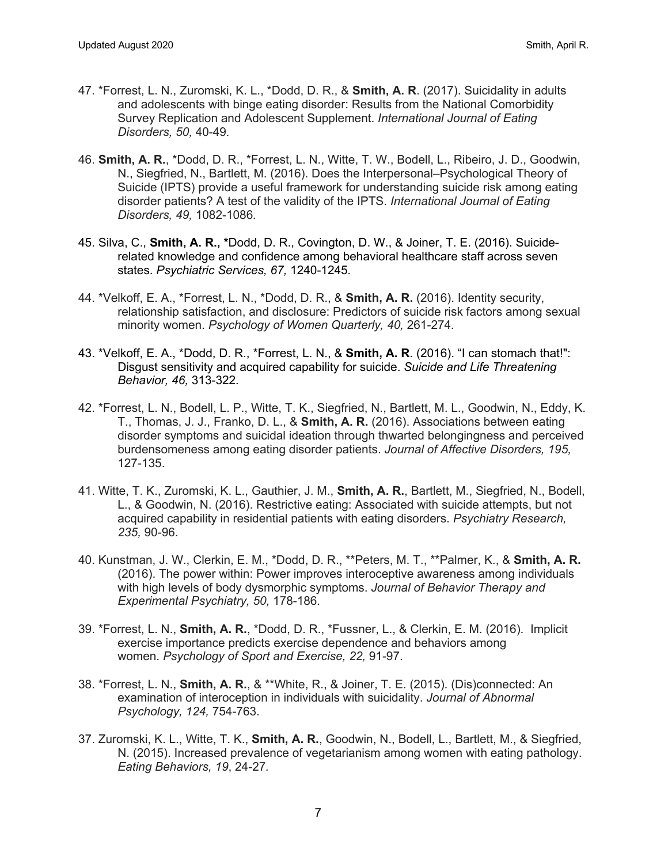- 47. \*Forrest, L. N., Zuromski, K. L., \*Dodd, D. R., & **Smith, A. R**. (2017). Suicidality in adults and adolescents with binge eating disorder: Results from the National Comorbidity Survey Replication and Adolescent Supplement. *International Journal of Eating Disorders, 50,* 40-49*.*
- 46. **Smith, A. R.**, \*Dodd, D. R., \*Forrest, L. N., Witte, T. W., Bodell, L., Ribeiro, J. D., Goodwin, N., Siegfried, N., Bartlett, M. (2016). Does the Interpersonal–Psychological Theory of Suicide (IPTS) provide a useful framework for understanding suicide risk among eating disorder patients? A test of the validity of the IPTS. *International Journal of Eating Disorders, 49,* 1082-1086*.*
- 45. Silva, C., **Smith, A. R., \***Dodd, D. R., Covington, D. W., & Joiner, T. E. (2016). Suiciderelated knowledge and confidence among behavioral healthcare staff across seven states. *Psychiatric Services, 67,* 1240-1245*.*
- 44. \*Velkoff, E. A., \*Forrest, L. N., \*Dodd, D. R., & **Smith, A. R.** (2016). Identity security, relationship satisfaction, and disclosure: Predictors of suicide risk factors among sexual minority women. *Psychology of Women Quarterly, 40,* 261-274*.*
- 43. \*Velkoff, E. A., \*Dodd, D. R., \*Forrest, L. N., & **Smith, A. R**. (2016). "I can stomach that!": Disgust sensitivity and acquired capability for suicide. *Suicide and Life Threatening Behavior, 46,* 313-322*.*
- 42. \*Forrest, L. N., Bodell, L. P., Witte, T. K., Siegfried, N., Bartlett, M. L., Goodwin, N., Eddy, K. T., Thomas, J. J., Franko, D. L., & **Smith, A. R.** (2016). Associations between eating disorder symptoms and suicidal ideation through thwarted belongingness and perceived burdensomeness among eating disorder patients. *Journal of Affective Disorders, 195,*  127-135.
- 41. Witte, T. K., Zuromski, K. L., Gauthier, J. M., **Smith, A. R.**, Bartlett, M., Siegfried, N., Bodell, L., & Goodwin, N. (2016). Restrictive eating: Associated with suicide attempts, but not acquired capability in residential patients with eating disorders. *Psychiatry Research, 235,* 90-96.
- 40. Kunstman, J. W., Clerkin, E. M., \*Dodd, D. R., \*\*Peters, M. T., \*\*Palmer, K., & **Smith, A. R.** (2016). The power within: Power improves interoceptive awareness among individuals with high levels of body dysmorphic symptoms. *Journal of Behavior Therapy and Experimental Psychiatry, 50,* 178-186*.*
- 39. \*Forrest, L. N., **Smith, A. R.**, \*Dodd, D. R., \*Fussner, L., & Clerkin, E. M. (2016). Implicit exercise importance predicts exercise dependence and behaviors among women. *Psychology of Sport and Exercise, 22,* 91-97.
- 38. \*Forrest, L. N., **Smith, A. R.**, & \*\*White, R., & Joiner, T. E. (2015). (Dis)connected: An examination of interoception in individuals with suicidality. *Journal of Abnormal Psychology, 124,* 754-763.
- 37. Zuromski, K. L., Witte, T. K., **Smith, A. R.**, Goodwin, N., Bodell, L., Bartlett, M., & Siegfried, N. (2015). Increased prevalence of vegetarianism among women with eating pathology. *Eating Behaviors, 19*, 24-27*.*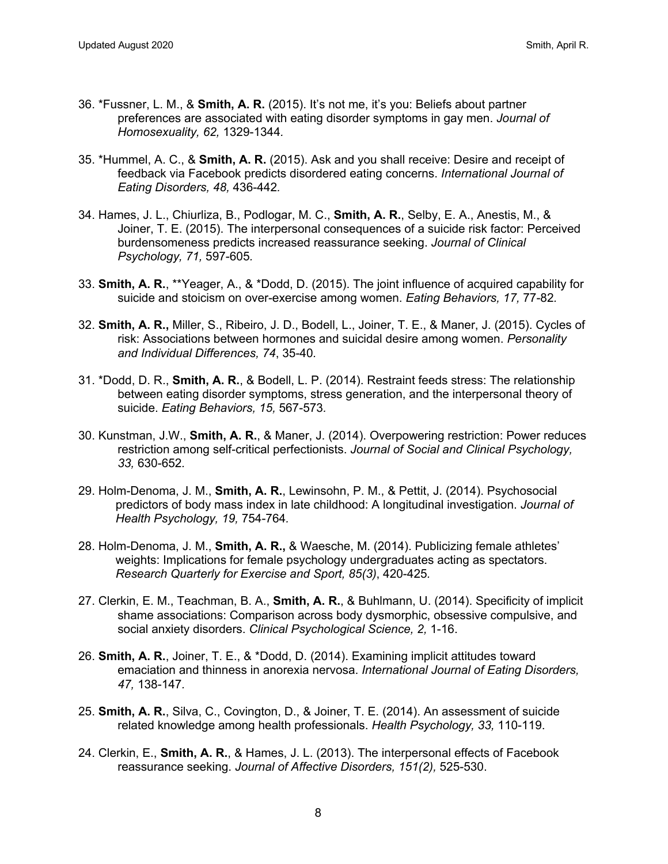- 36. \*Fussner, L. M., & **Smith, A. R.** (2015). It's not me, it's you: Beliefs about partner preferences are associated with eating disorder symptoms in gay men. *Journal of Homosexuality, 62,* 1329-1344*.*
- 35. \*Hummel, A. C., & **Smith, A. R.** (2015). Ask and you shall receive: Desire and receipt of feedback via Facebook predicts disordered eating concerns. *International Journal of Eating Disorders, 48,* 436-442*.*
- 34. Hames, J. L., Chiurliza, B., Podlogar, M. C., **Smith, A. R.**, Selby, E. A., Anestis, M., & Joiner, T. E. (2015). The interpersonal consequences of a suicide risk factor: Perceived burdensomeness predicts increased reassurance seeking. *Journal of Clinical Psychology, 71,* 597-605*.*
- 33. **Smith, A. R.**, \*\*Yeager, A., & \*Dodd, D. (2015). The joint influence of acquired capability for suicide and stoicism on over-exercise among women. *Eating Behaviors, 17,* 77-82*.*
- 32. **Smith, A. R.,** Miller, S., Ribeiro, J. D., Bodell, L., Joiner, T. E., & Maner, J. (2015). Cycles of risk: Associations between hormones and suicidal desire among women. *Personality and Individual Differences, 74*, 35-40*.*
- 31. \*Dodd, D. R., **Smith, A. R.**, & Bodell, L. P. (2014). Restraint feeds stress: The relationship between eating disorder symptoms, stress generation, and the interpersonal theory of suicide. *Eating Behaviors, 15,* 567-573*.*
- 30. Kunstman, J.W., **Smith, A. R.**, & Maner, J. (2014). Overpowering restriction: Power reduces restriction among self-critical perfectionists. *Journal of Social and Clinical Psychology, 33,* 630-652*.*
- 29. Holm-Denoma, J. M., **Smith, A. R.**, Lewinsohn, P. M., & Pettit, J. (2014). Psychosocial predictors of body mass index in late childhood: A longitudinal investigation. *Journal of Health Psychology, 19,* 754-764*.*
- 28. Holm-Denoma, J. M., **Smith, A. R.,** & Waesche, M. (2014). Publicizing female athletes' weights: Implications for female psychology undergraduates acting as spectators. *Research Quarterly for Exercise and Sport, 85(3)*, 420-425*.*
- 27. Clerkin, E. M., Teachman, B. A., **Smith, A. R.**, & Buhlmann, U. (2014). Specificity of implicit shame associations: Comparison across body dysmorphic, obsessive compulsive, and social anxiety disorders. *Clinical Psychological Science, 2,* 1-16.
- 26. **Smith, A. R.**, Joiner, T. E., & \*Dodd, D. (2014). Examining implicit attitudes toward emaciation and thinness in anorexia nervosa. *International Journal of Eating Disorders, 47,* 138-147*.*
- 25. **Smith, A. R.**, Silva, C., Covington, D., & Joiner, T. E. (2014). An assessment of suicide related knowledge among health professionals. *Health Psychology, 33,* 110-119.
- 24. Clerkin, E., **Smith, A. R.**, & Hames, J. L. (2013). The interpersonal effects of Facebook reassurance seeking. *Journal of Affective Disorders, 151(2),* 525-530.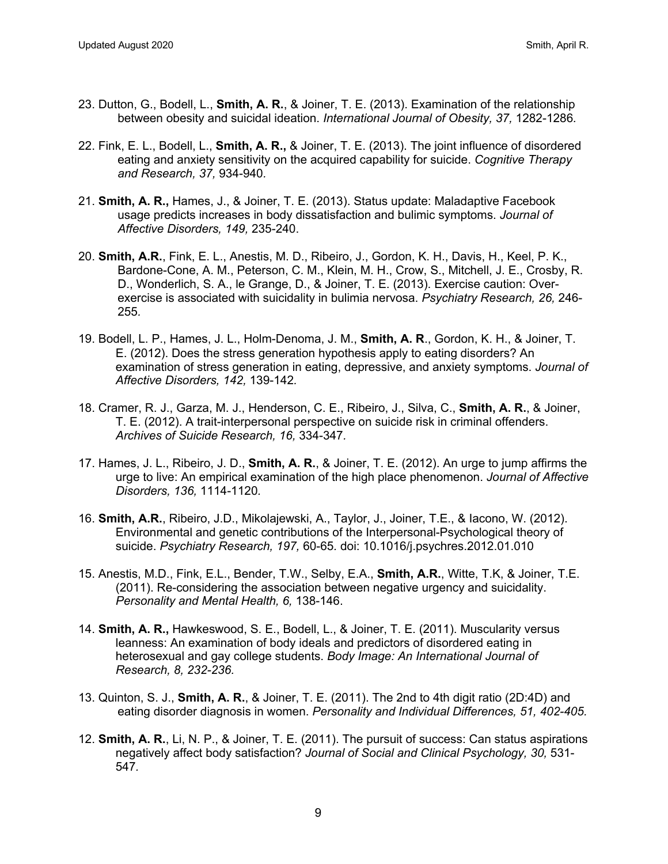- 23. Dutton, G., Bodell, L., **Smith, A. R.**, & Joiner, T. E. (2013). Examination of the relationship between obesity and suicidal ideation. *International Journal of Obesity, 37,* 1282-1286*.*
- 22. Fink, E. L., Bodell, L., **Smith, A. R.,** & Joiner, T. E. (2013). The joint influence of disordered eating and anxiety sensitivity on the acquired capability for suicide. *Cognitive Therapy and Research, 37,* 934-940*.*
- 21. **Smith, A. R.,** Hames, J., & Joiner, T. E. (2013). Status update: Maladaptive Facebook usage predicts increases in body dissatisfaction and bulimic symptoms. *Journal of Affective Disorders, 149,* 235-240.
- 20. **Smith, A.R.**, Fink, E. L., Anestis, M. D., Ribeiro, J., Gordon, K. H., Davis, H., Keel, P. K., Bardone-Cone, A. M., Peterson, C. M., Klein, M. H., Crow, S., Mitchell, J. E., Crosby, R. D., Wonderlich, S. A., le Grange, D., & Joiner, T. E. (2013). Exercise caution: Overexercise is associated with suicidality in bulimia nervosa. *Psychiatry Research, 26,* 246- 255*.*
- 19. Bodell, L. P., Hames, J. L., Holm-Denoma, J. M., **Smith, A. R**., Gordon, K. H., & Joiner, T. E. (2012). Does the stress generation hypothesis apply to eating disorders? An examination of stress generation in eating, depressive, and anxiety symptoms. *Journal of Affective Disorders, 142,* 139-142*.*
- 18. Cramer, R. J., Garza, M. J., Henderson, C. E., Ribeiro, J., Silva, C., **Smith, A. R.**, & Joiner, T. E. (2012). A trait-interpersonal perspective on suicide risk in criminal offenders. *Archives of Suicide Research, 16,* 334-347*.*
- 17. Hames, J. L., Ribeiro, J. D., **Smith, A. R.**, & Joiner, T. E. (2012). An urge to jump affirms the urge to live: An empirical examination of the high place phenomenon. *Journal of Affective Disorders, 136,* 1114-1120*.*
- 16. **Smith, A.R.**, Ribeiro, J.D., Mikolajewski, A., Taylor, J., Joiner, T.E., & Iacono, W. (2012). Environmental and genetic contributions of the Interpersonal-Psychological theory of suicide. *Psychiatry Research, 197,* 60-65*.* doi: 10.1016/j.psychres.2012.01.010
- 15. Anestis, M.D., Fink, E.L., Bender, T.W., Selby, E.A., **Smith, A.R.**, Witte, T.K, & Joiner, T.E. (2011). Re-considering the association between negative urgency and suicidality. *Personality and Mental Health, 6,* 138-146.
- 14. **Smith, A. R.,** Hawkeswood, S. E., Bodell, L., & Joiner, T. E. (2011). Muscularity versus leanness: An examination of body ideals and predictors of disordered eating in heterosexual and gay college students. *Body Image: An International Journal of Research, 8, 232-236.*
- 13. Quinton, S. J., **Smith, A. R.**, & Joiner, T. E. (2011). The 2nd to 4th digit ratio (2D:4D) and eating disorder diagnosis in women. *Personality and Individual Differences, 51, 402-405.*
- 12. **Smith, A. R.**, Li, N. P., & Joiner, T. E. (2011). The pursuit of success: Can status aspirations negatively affect body satisfaction? *Journal of Social and Clinical Psychology, 30,* 531- 547*.*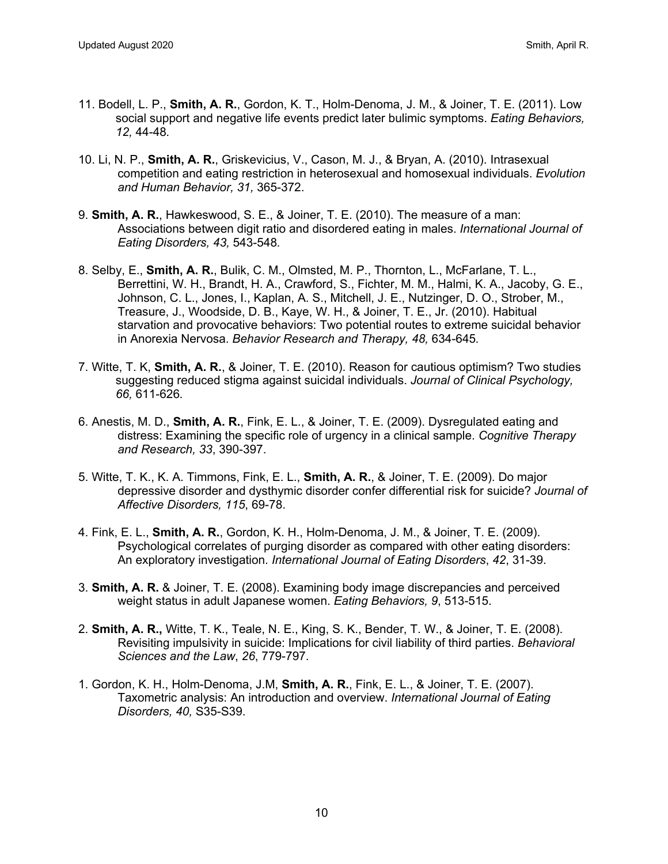- 11. Bodell, L. P., **Smith, A. R.**, Gordon, K. T., Holm-Denoma, J. M., & Joiner, T. E. (2011). Low social support and negative life events predict later bulimic symptoms. *Eating Behaviors, 12,* 44-48*.*
- 10. Li, N. P., **Smith, A. R.**, Griskevicius, V., Cason, M. J., & Bryan, A. (2010). Intrasexual competition and eating restriction in heterosexual and homosexual individuals. *Evolution and Human Behavior, 31,* 365-372.
- 9. **Smith, A. R.**, Hawkeswood, S. E., & Joiner, T. E. (2010). The measure of a man: Associations between digit ratio and disordered eating in males. *International Journal of Eating Disorders, 43,* 543-548*.*
- 8. Selby, E., **Smith, A. R.**, Bulik, C. M., Olmsted, M. P., Thornton, L., McFarlane, T. L., Berrettini, W. H., Brandt, H. A., Crawford, S., Fichter, M. M., Halmi, K. A., Jacoby, G. E., Johnson, C. L., Jones, I., Kaplan, A. S., Mitchell, J. E., Nutzinger, D. O., Strober, M., Treasure, J., Woodside, D. B., Kaye, W. H., & Joiner, T. E., Jr. (2010). Habitual starvation and provocative behaviors: Two potential routes to extreme suicidal behavior in Anorexia Nervosa. *Behavior Research and Therapy, 48,* 634-645*.*
- 7. Witte, T. K, **Smith, A. R.**, & Joiner, T. E. (2010). Reason for cautious optimism? Two studies suggesting reduced stigma against suicidal individuals. *Journal of Clinical Psychology, 66,* 611-626*.*
- 6. Anestis, M. D., **Smith, A. R.**, Fink, E. L., & Joiner, T. E. (2009). Dysregulated eating and distress: Examining the specific role of urgency in a clinical sample. *Cognitive Therapy and Research, 33*, 390-397.
- 5. Witte, T. K., K. A. Timmons, Fink, E. L., **Smith, A. R.**, & Joiner, T. E. (2009). Do major depressive disorder and dysthymic disorder confer differential risk for suicide? *Journal of Affective Disorders, 115*, 69-78.
- 4. Fink, E. L., **Smith, A. R.**, Gordon, K. H., Holm-Denoma, J. M., & Joiner, T. E. (2009). Psychological correlates of purging disorder as compared with other eating disorders: An exploratory investigation. *International Journal of Eating Disorders*, *42*, 31-39.
- 3. **Smith, A. R.** & Joiner, T. E. (2008). Examining body image discrepancies and perceived weight status in adult Japanese women. *Eating Behaviors, 9*, 513-515.
- 2. **Smith, A. R.,** Witte, T. K., Teale, N. E., King, S. K., Bender, T. W., & Joiner, T. E. (2008). Revisiting impulsivity in suicide: Implications for civil liability of third parties. *Behavioral Sciences and the Law*, *26*, 779-797.
- 1. Gordon, K. H., Holm-Denoma, J.M, **Smith, A. R.**, Fink, E. L., & Joiner, T. E. (2007). Taxometric analysis: An introduction and overview. *International Journal of Eating Disorders, 40,* S35-S39.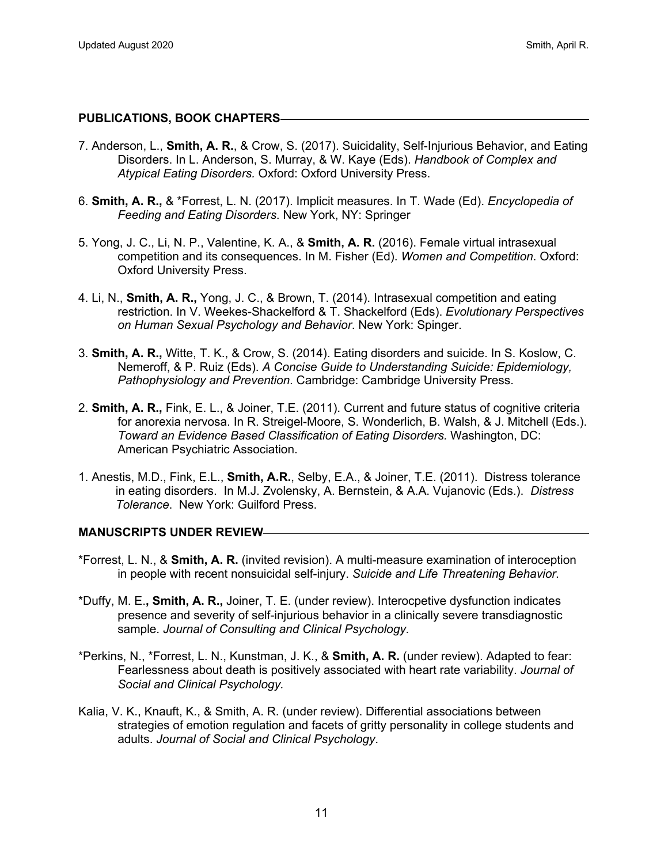#### **PUBLICATIONS, BOOK CHAPTERS**

- 7. Anderson, L., **Smith, A. R.**, & Crow, S. (2017). Suicidality, Self-Injurious Behavior, and Eating Disorders. In L. Anderson, S. Murray, & W. Kaye (Eds). *Handbook of Complex and Atypical Eating Disorders.* Oxford: Oxford University Press.
- 6. **Smith, A. R.,** & \*Forrest, L. N. (2017). Implicit measures. In T. Wade (Ed). *Encyclopedia of Feeding and Eating Disorders*. New York, NY: Springer
- 5. Yong, J. C., Li, N. P., Valentine, K. A., & **Smith, A. R.** (2016). Female virtual intrasexual competition and its consequences. In M. Fisher (Ed). *Women and Competition*. Oxford: Oxford University Press.
- 4. Li, N., **Smith, A. R.,** Yong, J. C., & Brown, T. (2014). Intrasexual competition and eating restriction. In V. Weekes-Shackelford & T. Shackelford (Eds). *Evolutionary Perspectives on Human Sexual Psychology and Behavior*. New York: Spinger.
- 3. **Smith, A. R.,** Witte, T. K., & Crow, S. (2014). Eating disorders and suicide. In S. Koslow, C. Nemeroff, & P. Ruiz (Eds). *A Concise Guide to Understanding Suicide: Epidemiology, Pathophysiology and Prevention*. Cambridge: Cambridge University Press.
- 2. **Smith, A. R.,** Fink, E. L., & Joiner, T.E. (2011). Current and future status of cognitive criteria for anorexia nervosa. In R. Streigel-Moore, S. Wonderlich, B. Walsh, & J. Mitchell (Eds.). *Toward an Evidence Based Classification of Eating Disorders.* Washington, DC: American Psychiatric Association.
- 1. Anestis, M.D., Fink, E.L., **Smith, A.R.**, Selby, E.A., & Joiner, T.E. (2011). Distress tolerance in eating disorders. In M.J. Zvolensky, A. Bernstein, & A.A. Vujanovic (Eds.). *Distress Tolerance*. New York: Guilford Press.

#### **MANUSCRIPTS UNDER REVIEW**

- \*Forrest, L. N., & **Smith, A. R.** (invited revision). A multi-measure examination of interoception in people with recent nonsuicidal self-injury. *Suicide and Life Threatening Behavior*.
- \*Duffy, M. E.**, Smith, A. R.,** Joiner, T. E. (under review). Interocpetive dysfunction indicates presence and severity of self-injurious behavior in a clinically severe transdiagnostic sample. *Journal of Consulting and Clinical Psychology*.
- \*Perkins, N., \*Forrest, L. N., Kunstman, J. K., & **Smith, A. R.** (under review). Adapted to fear: Fearlessness about death is positively associated with heart rate variability. *Journal of Social and Clinical Psychology.*
- Kalia, V. K., Knauft, K., & Smith, A. R. (under review). Differential associations between strategies of emotion regulation and facets of gritty personality in college students and adults. *Journal of Social and Clinical Psychology*.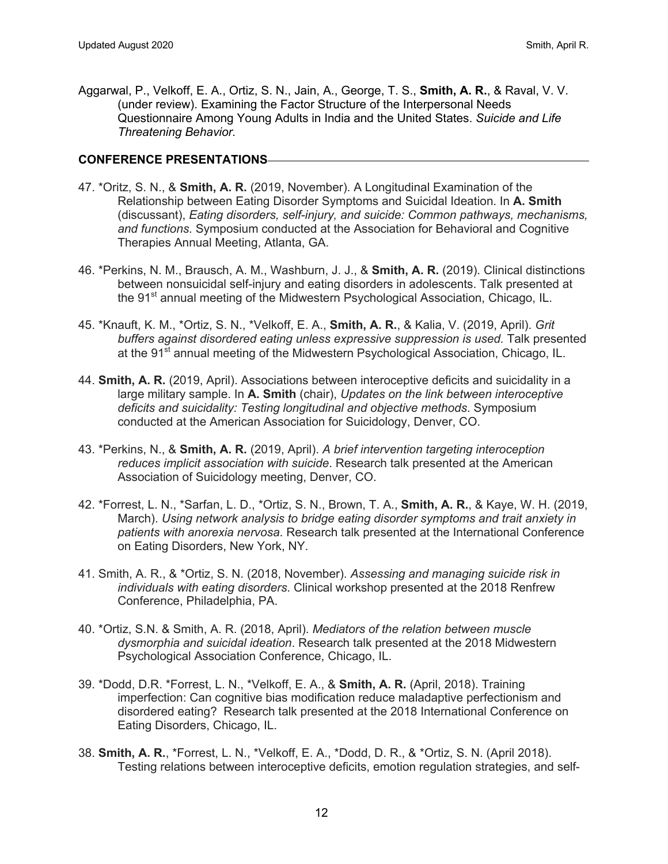Aggarwal, P., Velkoff, E. A., Ortiz, S. N., Jain, A., George, T. S., **Smith, A. R.**, & Raval, V. V. (under review). Examining the Factor Structure of the Interpersonal Needs Questionnaire Among Young Adults in India and the United States. *Suicide and Life Threatening Behavior.* 

## **CONFERENCE PRESENTATIONS**

- 47. \*Oritz, S. N., & **Smith, A. R.** (2019, November). A Longitudinal Examination of the Relationship between Eating Disorder Symptoms and Suicidal Ideation. In **A. Smith** (discussant), *Eating disorders, self-injury, and suicide: Common pathways, mechanisms, and functions*. Symposium conducted at the Association for Behavioral and Cognitive Therapies Annual Meeting, Atlanta, GA.
- 46. \*Perkins, N. M., Brausch, A. M., Washburn, J. J., & **Smith, A. R.** (2019). Clinical distinctions between nonsuicidal self-injury and eating disorders in adolescents. Talk presented at the 91<sup>st</sup> annual meeting of the Midwestern Psychological Association, Chicago, IL.
- 45. \*Knauft, K. M., \*Ortiz, S. N., \*Velkoff, E. A., **Smith, A. R.**, & Kalia, V. (2019, April). *Grit buffers against disordered eating unless expressive suppression is used.* Talk presented at the 91<sup>st</sup> annual meeting of the Midwestern Psychological Association, Chicago, IL.
- 44. **Smith, A. R.** (2019, April). Associations between interoceptive deficits and suicidality in a large military sample. In **A. Smith** (chair), *Updates on the link between interoceptive deficits and suicidality: Testing longitudinal and objective methods*. Symposium conducted at the American Association for Suicidology, Denver, CO.
- 43. \*Perkins, N., & **Smith, A. R.** (2019, April). *A brief intervention targeting interoception reduces implicit association with suicide*. Research talk presented at the American Association of Suicidology meeting, Denver, CO.
- 42. \*Forrest, L. N., \*Sarfan, L. D., \*Ortiz, S. N., Brown, T. A., **Smith, A. R.**, & Kaye, W. H. (2019, March). *Using network analysis to bridge eating disorder symptoms and trait anxiety in patients with anorexia nervosa*. Research talk presented at the International Conference on Eating Disorders, New York, NY.
- 41. Smith, A. R., & \*Ortiz, S. N. (2018, November). *Assessing and managing suicide risk in individuals with eating disorders*. Clinical workshop presented at the 2018 Renfrew Conference, Philadelphia, PA.
- 40. \*Ortiz, S.N. & Smith, A. R. (2018, April). *Mediators of the relation between muscle dysmorphia and suicidal ideation*. Research talk presented at the 2018 Midwestern Psychological Association Conference, Chicago, IL.
- 39. \*Dodd, D.R. \*Forrest, L. N., \*Velkoff, E. A., & **Smith, A. R.** (April, 2018). Training imperfection: Can cognitive bias modification reduce maladaptive perfectionism and disordered eating? Research talk presented at the 2018 International Conference on Eating Disorders, Chicago, IL.
- 38. **Smith, A. R.**, \*Forrest, L. N., \*Velkoff, E. A., \*Dodd, D. R., & \*Ortiz, S. N. (April 2018). Testing relations between interoceptive deficits, emotion regulation strategies, and self-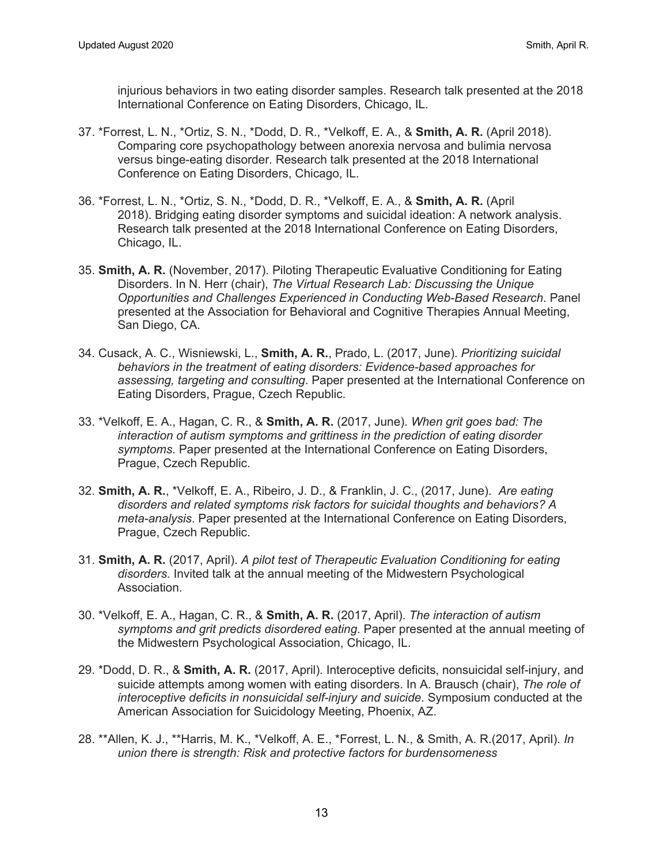injurious behaviors in two eating disorder samples. Research talk presented at the 2018 International Conference on Eating Disorders, Chicago, IL.

- 37. \*Forrest, L. N., \*Ortiz, S. N., \*Dodd, D. R., \*Velkoff, E. A., & **Smith, A. R.** (April 2018). Comparing core psychopathology between anorexia nervosa and bulimia nervosa versus binge-eating disorder. Research talk presented at the 2018 International Conference on Eating Disorders, Chicago, IL.
- 36. \*Forrest, L. N., \*Ortiz, S. N., \*Dodd, D. R., \*Velkoff, E. A., & **Smith, A. R.** (April 2018). Bridging eating disorder symptoms and suicidal ideation: A network analysis. Research talk presented at the 2018 International Conference on Eating Disorders, Chicago, IL.
- 35. **Smith, A. R.** (November, 2017). Piloting Therapeutic Evaluative Conditioning for Eating Disorders. In N. Herr (chair), *The Virtual Research Lab: Discussing the Unique Opportunities and Challenges Experienced in Conducting Web-Based Research*. Panel presented at the Association for Behavioral and Cognitive Therapies Annual Meeting, San Diego, CA.
- 34. Cusack, A. C., Wisniewski, L., **Smith, A. R.**, Prado, L. (2017, June). *Prioritizing suicidal behaviors in the treatment of eating disorders: Evidence-based approaches for assessing, targeting and consulting*. Paper presented at the International Conference on Eating Disorders, Prague, Czech Republic.
- 33. \*Velkoff, E. A., Hagan, C. R., & **Smith, A. R.** (2017, June). *When grit goes bad: The interaction of autism symptoms and grittiness in the prediction of eating disorder symptoms*. Paper presented at the International Conference on Eating Disorders, Prague, Czech Republic.
- 32. **Smith, A. R.**, \*Velkoff, E. A., Ribeiro, J. D., & Franklin, J. C., (2017, June). *Are eating disorders and related symptoms risk factors for suicidal thoughts and behaviors? A meta-analysis*. Paper presented at the International Conference on Eating Disorders, Prague, Czech Republic.
- 31. **Smith, A. R.** (2017, April). *A pilot test of Therapeutic Evaluation Conditioning for eating disorders.* Invited talk at the annual meeting of the Midwestern Psychological Association.
- 30. \*Velkoff, E. A., Hagan, C. R., & **Smith, A. R.** (2017, April). *The interaction of autism symptoms and grit predicts disordered eating*. Paper presented at the annual meeting of the Midwestern Psychological Association, Chicago, IL.
- 29. \*Dodd, D. R., & **Smith, A. R.** (2017, April). Interoceptive deficits, nonsuicidal self-injury, and suicide attempts among women with eating disorders. In A. Brausch (chair), *The role of interoceptive deficits in nonsuicidal self-injury and suicide*. Symposium conducted at the American Association for Suicidology Meeting, Phoenix, AZ.
- 28. \*\*Allen, K. J., \*\*Harris, M. K., \*Velkoff, A. E., \*Forrest, L. N., & Smith, A. R.(2017, April). *In union there is strength: Risk and protective factors for burdensomeness*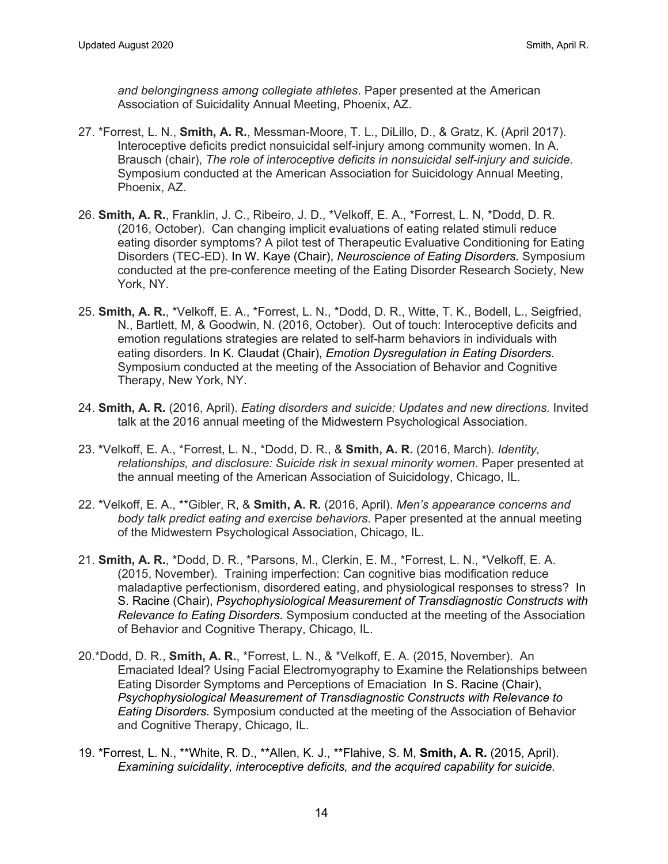*and belongingness among collegiate athletes*. Paper presented at the American Association of Suicidality Annual Meeting, Phoenix, AZ.

- 27. \*Forrest, L. N., **Smith, A. R.**, Messman-Moore, T. L., DiLillo, D., & Gratz, K. (April 2017). Interoceptive deficits predict nonsuicidal self-injury among community women. In A. Brausch (chair), *The role of interoceptive deficits in nonsuicidal self-injury and suicide*. Symposium conducted at the American Association for Suicidology Annual Meeting, Phoenix, AZ.
- 26. **Smith, A. R.**, Franklin, J. C., Ribeiro, J. D., \*Velkoff, E. A., \*Forrest, L. N, \*Dodd, D. R. (2016, October). Can changing implicit evaluations of eating related stimuli reduce eating disorder symptoms? A pilot test of Therapeutic Evaluative Conditioning for Eating Disorders (TEC-ED). In W. Kaye (Chair), *Neuroscience of Eating Disorders.* Symposium conducted at the pre-conference meeting of the Eating Disorder Research Society, New York, NY.
- 25. **Smith, A. R.**, \*Velkoff, E. A., \*Forrest, L. N., \*Dodd, D. R., Witte, T. K., Bodell, L., Seigfried, N., Bartlett, M, & Goodwin, N. (2016, October). Out of touch: Interoceptive deficits and emotion regulations strategies are related to self-harm behaviors in individuals with eating disorders. In K. Claudat (Chair), *Emotion Dysregulation in Eating Disorders.* Symposium conducted at the meeting of the Association of Behavior and Cognitive Therapy, New York, NY.
- 24. **Smith, A. R.** (2016, April). *Eating disorders and suicide: Updates and new directions.* Invited talk at the 2016 annual meeting of the Midwestern Psychological Association.
- 23. **\***Velkoff, E. A., \*Forrest, L. N., \*Dodd, D. R., & **Smith, A. R.** (2016, March). *Identity, relationships, and disclosure: Suicide risk in sexual minority women*. Paper presented at the annual meeting of the American Association of Suicidology, Chicago, IL.
- 22. \*Velkoff, E. A., \*\*Gibler, R, & **Smith, A. R.** (2016, April). *Men's appearance concerns and body talk predict eating and exercise behaviors*. Paper presented at the annual meeting of the Midwestern Psychological Association, Chicago, IL.
- 21. **Smith, A. R.**, \*Dodd, D. R., \*Parsons, M., Clerkin, E. M., \*Forrest, L. N., \*Velkoff, E. A. (2015, November). Training imperfection: Can cognitive bias modification reduce maladaptive perfectionism, disordered eating, and physiological responses to stress? In S. Racine (Chair), *Psychophysiological Measurement of Transdiagnostic Constructs with Relevance to Eating Disorders.* Symposium conducted at the meeting of the Association of Behavior and Cognitive Therapy, Chicago, IL.
- 20.\*Dodd, D. R., **Smith, A. R.**, \*Forrest, L. N., & \*Velkoff, E. A. (2015, November). An Emaciated Ideal? Using Facial Electromyography to Examine the Relationships between Eating Disorder Symptoms and Perceptions of Emaciation In S. Racine (Chair), *Psychophysiological Measurement of Transdiagnostic Constructs with Relevance to Eating Disorders.* Symposium conducted at the meeting of the Association of Behavior and Cognitive Therapy, Chicago, IL.
- 19. \*Forrest, L. N., \*\*White, R. D., \*\*Allen, K. J., \*\*Flahive, S. M, **Smith, A. R.** (2015, April). *Examining suicidality, interoceptive deficits, and the acquired capability for suicide.*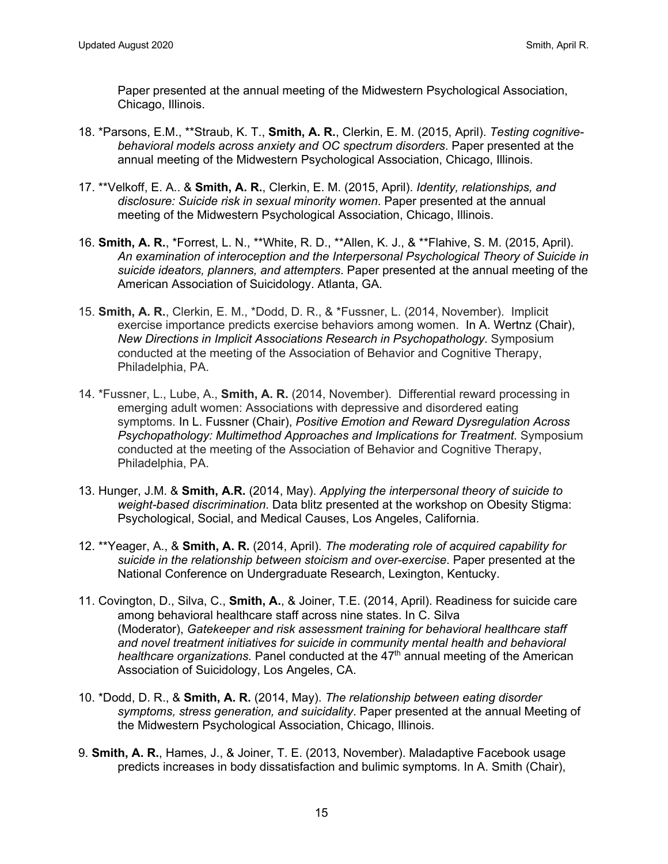Paper presented at the annual meeting of the Midwestern Psychological Association, Chicago, Illinois.

- 18. \*Parsons, E.M., \*\*Straub, K. T., **Smith, A. R.**, Clerkin, E. M. (2015, April). *Testing cognitivebehavioral models across anxiety and OC spectrum disorders*. Paper presented at the annual meeting of the Midwestern Psychological Association, Chicago, Illinois.
- 17. \*\*Velkoff, E. A.. & **Smith, A. R.**, Clerkin, E. M. (2015, April). *Identity, relationships, and disclosure: Suicide risk in sexual minority women*. Paper presented at the annual meeting of the Midwestern Psychological Association, Chicago, Illinois.
- 16. **Smith, A. R.**, \*Forrest, L. N., \*\*White, R. D., \*\*Allen, K. J., & \*\*Flahive, S. M. (2015, April). *An examination of interoception and the Interpersonal Psychological Theory of Suicide in suicide ideators, planners, and attempters*. Paper presented at the annual meeting of the American Association of Suicidology. Atlanta, GA.
- 15. **Smith, A. R.**, Clerkin, E. M., \*Dodd, D. R., & \*Fussner, L. (2014, November). Implicit exercise importance predicts exercise behaviors among women. In A. Wertnz (Chair), *New Directions in Implicit Associations Research in Psychopathology*. Symposium conducted at the meeting of the Association of Behavior and Cognitive Therapy, Philadelphia, PA.
- 14. \*Fussner, L., Lube, A., **Smith, A. R.** (2014, November). Differential reward processing in emerging adult women: Associations with depressive and disordered eating symptoms. In L. Fussner (Chair), *Positive Emotion and Reward Dysregulation Across Psychopathology: Multimethod Approaches and Implications for Treatment*. Symposium conducted at the meeting of the Association of Behavior and Cognitive Therapy, Philadelphia, PA.
- 13. Hunger, J.M. & **Smith, A.R.** (2014, May). *Applying the interpersonal theory of suicide to weight-based discrimination*. Data blitz presented at the workshop on Obesity Stigma: Psychological, Social, and Medical Causes, Los Angeles, California.
- 12. \*\*Yeager, A., & **Smith, A. R.** (2014, April). *The moderating role of acquired capability for suicide in the relationship between stoicism and over-exercise*. Paper presented at the National Conference on Undergraduate Research, Lexington, Kentucky.
- 11. Covington, D., Silva, C., **Smith, A.**, & Joiner, T.E. (2014, April). Readiness for suicide care among behavioral healthcare staff across nine states. In C. Silva (Moderator), *Gatekeeper and risk assessment training for behavioral healthcare staff and novel treatment initiatives for suicide in community mental health and behavioral healthcare organizations.* Panel conducted at the 47<sup>th</sup> annual meeting of the American Association of Suicidology, Los Angeles, CA.
- 10. \*Dodd, D. R., & **Smith, A. R.** (2014, May). *The relationship between eating disorder symptoms, stress generation, and suicidality*. Paper presented at the annual Meeting of the Midwestern Psychological Association, Chicago, Illinois.
- 9. **Smith, A. R.**, Hames, J., & Joiner, T. E. (2013, November). Maladaptive Facebook usage predicts increases in body dissatisfaction and bulimic symptoms. In A. Smith (Chair),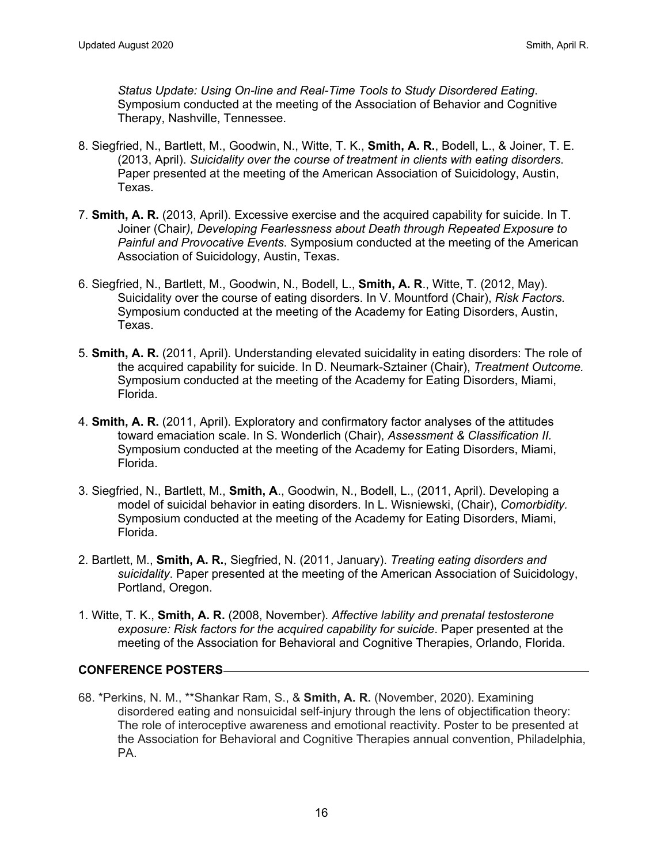*Status Update: Using On-line and Real-Time Tools to Study Disordered Eating*. Symposium conducted at the meeting of the Association of Behavior and Cognitive Therapy, Nashville, Tennessee.

- 8. Siegfried, N., Bartlett, M., Goodwin, N., Witte, T. K., **Smith, A. R.**, Bodell, L., & Joiner, T. E. (2013, April). *Suicidality over the course of treatment in clients with eating disorders*. Paper presented at the meeting of the American Association of Suicidology, Austin, Texas.
- 7. **Smith, A. R.** (2013, April). Excessive exercise and the acquired capability for suicide. In T. Joiner (Chair*), Developing Fearlessness about Death through Repeated Exposure to Painful and Provocative Events*. Symposium conducted at the meeting of the American Association of Suicidology, Austin, Texas.
- 6. Siegfried, N., Bartlett, M., Goodwin, N., Bodell, L., **Smith, A. R**., Witte, T. (2012, May). Suicidality over the course of eating disorders. In V. Mountford (Chair), *Risk Factors.* Symposium conducted at the meeting of the Academy for Eating Disorders, Austin, Texas.
- 5. **Smith, A. R.** (2011, April). Understanding elevated suicidality in eating disorders: The role of the acquired capability for suicide. In D. Neumark-Sztainer (Chair), *Treatment Outcome.*  Symposium conducted at the meeting of the Academy for Eating Disorders, Miami, Florida.
- 4. **Smith, A. R.** (2011, April). Exploratory and confirmatory factor analyses of the attitudes toward emaciation scale. In S. Wonderlich (Chair), *Assessment & Classification II.*  Symposium conducted at the meeting of the Academy for Eating Disorders, Miami, Florida.
- 3. Siegfried, N., Bartlett, M., **Smith, A**., Goodwin, N., Bodell, L., (2011, April). Developing a model of suicidal behavior in eating disorders. In L. Wisniewski, (Chair), *Comorbidity.*  Symposium conducted at the meeting of the Academy for Eating Disorders, Miami, Florida.
- 2. Bartlett, M., **Smith, A. R.**, Siegfried, N. (2011, January). *Treating eating disorders and suicidality*. Paper presented at the meeting of the American Association of Suicidology, Portland, Oregon.
- 1. Witte, T. K., **Smith, A. R.** (2008, November). *Affective lability and prenatal testosterone exposure: Risk factors for the acquired capability for suicide*. Paper presented at the meeting of the Association for Behavioral and Cognitive Therapies, Orlando, Florida.

## **CONFERENCE POSTERS**

68. \*Perkins, N. M., \*\*Shankar Ram, S., & **Smith, A. R.** (November, 2020). Examining disordered eating and nonsuicidal self-injury through the lens of objectification theory: The role of interoceptive awareness and emotional reactivity. Poster to be presented at the Association for Behavioral and Cognitive Therapies annual convention, Philadelphia, PA.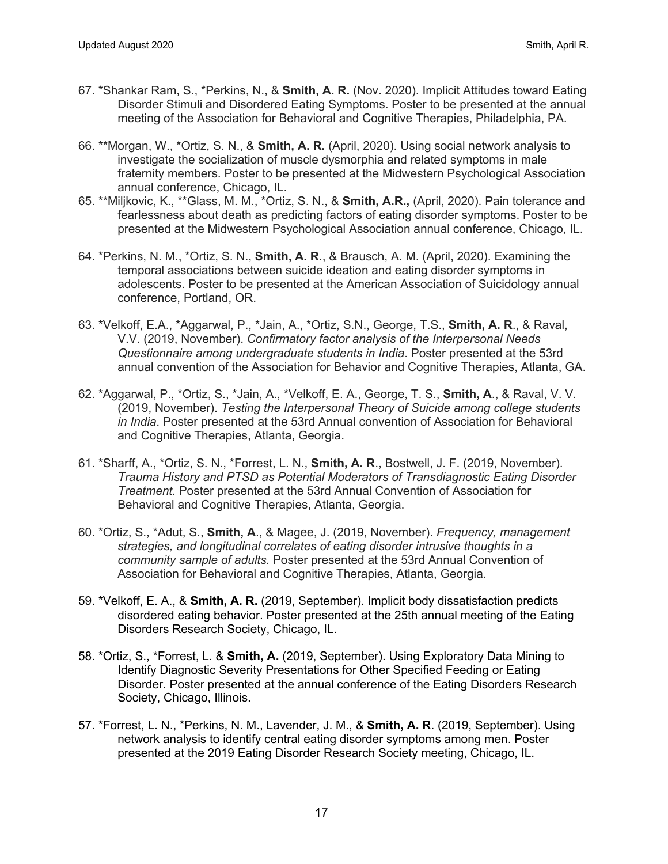- 67. \*Shankar Ram, S., \*Perkins, N., & **Smith, A. R.** (Nov. 2020). Implicit Attitudes toward Eating Disorder Stimuli and Disordered Eating Symptoms. Poster to be presented at the annual meeting of the Association for Behavioral and Cognitive Therapies, Philadelphia, PA.
- 66. \*\*Morgan, W., \*Ortiz, S. N., & **Smith, A. R.** (April, 2020). Using social network analysis to investigate the socialization of muscle dysmorphia and related symptoms in male fraternity members. Poster to be presented at the Midwestern Psychological Association annual conference, Chicago, IL.
- 65. \*\*Miljkovic, K., \*\*Glass, M. M., \*Ortiz, S. N., & **Smith, A.R.,** (April, 2020). Pain tolerance and fearlessness about death as predicting factors of eating disorder symptoms. Poster to be presented at the Midwestern Psychological Association annual conference, Chicago, IL.
- 64. \*Perkins, N. M., \*Ortiz, S. N., **Smith, A. R**., & Brausch, A. M. (April, 2020). Examining the temporal associations between suicide ideation and eating disorder symptoms in adolescents. Poster to be presented at the American Association of Suicidology annual conference, Portland, OR.
- 63. \*Velkoff, E.A., \*Aggarwal, P., \*Jain, A., \*Ortiz, S.N., George, T.S., **Smith, A. R**., & Raval, V.V. (2019, November). *Confirmatory factor analysis of the Interpersonal Needs Questionnaire among undergraduate students in India*. Poster presented at the 53rd annual convention of the Association for Behavior and Cognitive Therapies, Atlanta, GA.
- 62. \*Aggarwal, P., \*Ortiz, S., \*Jain, A., \*Velkoff, E. A., George, T. S., **Smith, A**., & Raval, V. V. (2019, November). *Testing the Interpersonal Theory of Suicide among college students in India*. Poster presented at the 53rd Annual convention of Association for Behavioral and Cognitive Therapies, Atlanta, Georgia.
- 61. \*Sharff, A., \*Ortiz, S. N., \*Forrest, L. N., **Smith, A. R**., Bostwell, J. F. (2019, November). *Trauma History and PTSD as Potential Moderators of Transdiagnostic Eating Disorder Treatment.* Poster presented at the 53rd Annual Convention of Association for Behavioral and Cognitive Therapies, Atlanta, Georgia.
- 60. \*Ortiz, S., \*Adut, S., **Smith, A**., & Magee, J. (2019, November). *Frequency, management strategies, and longitudinal correlates of eating disorder intrusive thoughts in a community sample of adults.* Poster presented at the 53rd Annual Convention of Association for Behavioral and Cognitive Therapies, Atlanta, Georgia.
- 59. \*Velkoff, E. A., & **Smith, A. R.** (2019, September). Implicit body dissatisfaction predicts disordered eating behavior. Poster presented at the 25th annual meeting of the Eating Disorders Research Society, Chicago, IL.
- 58. \*Ortiz, S., \*Forrest, L. & **Smith, A.** (2019, September). Using Exploratory Data Mining to Identify Diagnostic Severity Presentations for Other Specified Feeding or Eating Disorder. Poster presented at the annual conference of the Eating Disorders Research Society, Chicago, Illinois.
- 57. \*Forrest, L. N., \*Perkins, N. M., Lavender, J. M., & **Smith, A. R**. (2019, September). Using network analysis to identify central eating disorder symptoms among men. Poster presented at the 2019 Eating Disorder Research Society meeting, Chicago, IL.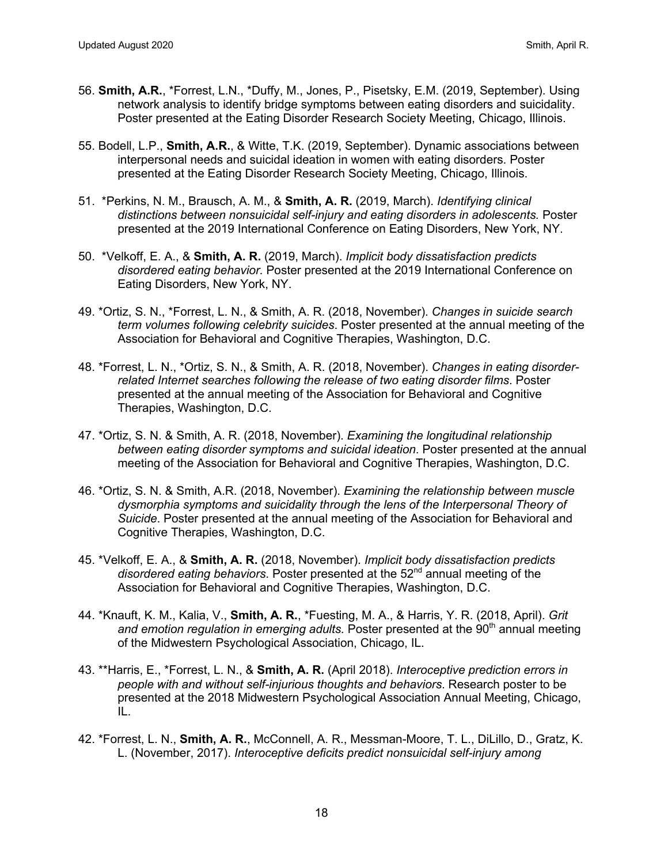- 56. **Smith, A.R.**, \*Forrest, L.N., \*Duffy, M., Jones, P., Pisetsky, E.M. (2019, September). Using network analysis to identify bridge symptoms between eating disorders and suicidality. Poster presented at the Eating Disorder Research Society Meeting, Chicago, Illinois.
- 55. Bodell, L.P., **Smith, A.R.**, & Witte, T.K. (2019, September). Dynamic associations between interpersonal needs and suicidal ideation in women with eating disorders. Poster presented at the Eating Disorder Research Society Meeting, Chicago, Illinois.
- 51. \*Perkins, N. M., Brausch, A. M., & **Smith, A. R.** (2019, March). *Identifying clinical distinctions between nonsuicidal self-injury and eating disorders in adolescents.* Poster presented at the 2019 International Conference on Eating Disorders, New York, NY.
- 50. \*Velkoff, E. A., & **Smith, A. R.** (2019, March). *Implicit body dissatisfaction predicts disordered eating behavior.* Poster presented at the 2019 International Conference on Eating Disorders, New York, NY.
- 49. \*Ortiz, S. N., \*Forrest, L. N., & Smith, A. R. (2018, November). *Changes in suicide search term volumes following celebrity suicides*. Poster presented at the annual meeting of the Association for Behavioral and Cognitive Therapies, Washington, D.C.
- 48. \*Forrest, L. N., \*Ortiz, S. N., & Smith, A. R. (2018, November). *Changes in eating disorderrelated Internet searches following the release of two eating disorder films*. Poster presented at the annual meeting of the Association for Behavioral and Cognitive Therapies, Washington, D.C.
- 47. \*Ortiz, S. N. & Smith, A. R. (2018, November). *Examining the longitudinal relationship between eating disorder symptoms and suicidal ideation*. Poster presented at the annual meeting of the Association for Behavioral and Cognitive Therapies, Washington, D.C.
- 46. \*Ortiz, S. N. & Smith, A.R. (2018, November). *Examining the relationship between muscle dysmorphia symptoms and suicidality through the lens of the Interpersonal Theory of Suicide*. Poster presented at the annual meeting of the Association for Behavioral and Cognitive Therapies, Washington, D.C.
- 45. \*Velkoff, E. A., & **Smith, A. R.** (2018, November). *Implicit body dissatisfaction predicts disordered eating behaviors*. Poster presented at the 52nd annual meeting of the Association for Behavioral and Cognitive Therapies, Washington, D.C.
- 44. \*Knauft, K. M., Kalia, V., **Smith, A. R.**, \*Fuesting, M. A., & Harris, Y. R. (2018, April). *Grit and emotion regulation in emerging adults.* Poster presented at the 90<sup>th</sup> annual meeting of the Midwestern Psychological Association, Chicago, IL.
- 43. \*\*Harris, E., \*Forrest, L. N., & **Smith, A. R.** (April 2018). *Interoceptive prediction errors in people with and without self-injurious thoughts and behaviors*. Research poster to be presented at the 2018 Midwestern Psychological Association Annual Meeting, Chicago, IL.
- 42. \*Forrest, L. N., **Smith, A. R.**, McConnell, A. R., Messman-Moore, T. L., DiLillo, D., Gratz, K. L. (November, 2017). *Interoceptive deficits predict nonsuicidal self-injury among*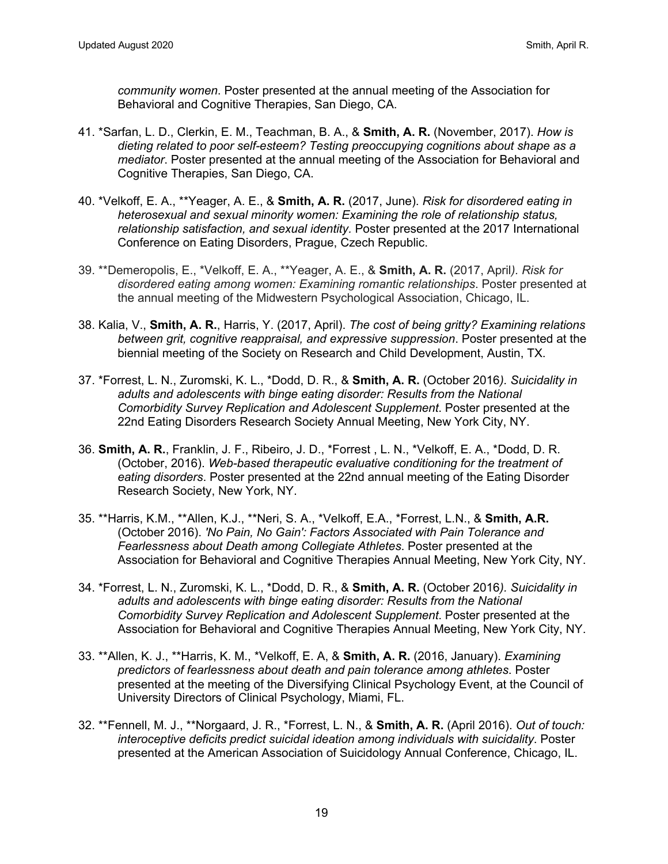*community women*. Poster presented at the annual meeting of the Association for Behavioral and Cognitive Therapies, San Diego, CA.

- 41. \*Sarfan, L. D., Clerkin, E. M., Teachman, B. A., & **Smith, A. R.** (November, 2017). *How is dieting related to poor self-esteem? Testing preoccupying cognitions about shape as a mediator*. Poster presented at the annual meeting of the Association for Behavioral and Cognitive Therapies, San Diego, CA.
- 40. \*Velkoff, E. A., \*\*Yeager, A. E., & **Smith, A. R.** (2017, June). *Risk for disordered eating in heterosexual and sexual minority women: Examining the role of relationship status, relationship satisfaction, and sexual identity.* Poster presented at the 2017 International Conference on Eating Disorders, Prague, Czech Republic.
- 39. \*\*Demeropolis, E., \*Velkoff, E. A., \*\*Yeager, A. E., & **Smith, A. R.** (2017, April*). Risk for disordered eating among women: Examining romantic relationships*. Poster presented at the annual meeting of the Midwestern Psychological Association, Chicago, IL.
- 38. Kalia, V., **Smith, A. R.**, Harris, Y. (2017, April). *The cost of being gritty? Examining relations between grit, cognitive reappraisal, and expressive suppression*. Poster presented at the biennial meeting of the Society on Research and Child Development, Austin, TX.
- 37. \*Forrest, L. N., Zuromski, K. L., \*Dodd, D. R., & **Smith, A. R.** (October 2016*). Suicidality in adults and adolescents with binge eating disorder: Results from the National Comorbidity Survey Replication and Adolescent Supplement*. Poster presented at the 22nd Eating Disorders Research Society Annual Meeting, New York City, NY.
- 36. **Smith, A. R.**, Franklin, J. F., Ribeiro, J. D., \*Forrest , L. N., \*Velkoff, E. A., \*Dodd, D. R. (October, 2016). *Web-based therapeutic evaluative conditioning for the treatment of eating disorders*. Poster presented at the 22nd annual meeting of the Eating Disorder Research Society, New York, NY.
- 35. \*\*Harris, K.M., \*\*Allen, K.J., \*\*Neri, S. A., \*Velkoff, E.A., \*Forrest, L.N., & **Smith, A.R.**  (October 2016). *'No Pain, No Gain': Factors Associated with Pain Tolerance and Fearlessness about Death among Collegiate Athletes*. Poster presented at the Association for Behavioral and Cognitive Therapies Annual Meeting, New York City, NY.
- 34. \*Forrest, L. N., Zuromski, K. L., \*Dodd, D. R., & **Smith, A. R.** (October 2016*). Suicidality in adults and adolescents with binge eating disorder: Results from the National Comorbidity Survey Replication and Adolescent Supplement*. Poster presented at the Association for Behavioral and Cognitive Therapies Annual Meeting, New York City, NY.
- 33. \*\*Allen, K. J., \*\*Harris, K. M., \*Velkoff, E. A, & **Smith, A. R.** (2016, January). *Examining predictors of fearlessness about death and pain tolerance among athletes*. Poster presented at the meeting of the Diversifying Clinical Psychology Event, at the Council of University Directors of Clinical Psychology, Miami, FL.
- 32. \*\*Fennell, M. J., \*\*Norgaard, J. R., \*Forrest, L. N., & **Smith, A. R.** (April 2016). *Out of touch: interoceptive deficits predict suicidal ideation among individuals with suicidality*. Poster presented at the American Association of Suicidology Annual Conference, Chicago, IL.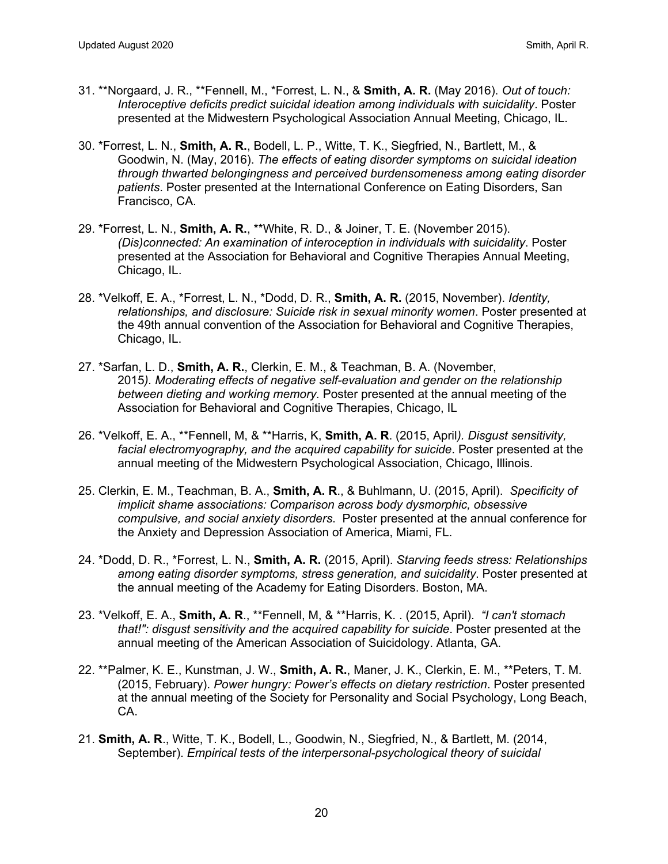- 31. \*\*Norgaard, J. R., \*\*Fennell, M., \*Forrest, L. N., & **Smith, A. R.** (May 2016). *Out of touch: Interoceptive deficits predict suicidal ideation among individuals with suicidality*. Poster presented at the Midwestern Psychological Association Annual Meeting, Chicago, IL.
- 30. \*Forrest, L. N., **Smith, A. R.**, Bodell, L. P., Witte, T. K., Siegfried, N., Bartlett, M., & Goodwin, N. (May, 2016). *The effects of eating disorder symptoms on suicidal ideation through thwarted belongingness and perceived burdensomeness among eating disorder patients*. Poster presented at the International Conference on Eating Disorders, San Francisco, CA.
- 29. \*Forrest, L. N., **Smith, A. R.**, \*\*White, R. D., & Joiner, T. E. (November 2015). *(Dis)connected: An examination of interoception in individuals with suicidality*. Poster presented at the Association for Behavioral and Cognitive Therapies Annual Meeting, Chicago, IL.
- 28. \*Velkoff, E. A., \*Forrest, L. N., \*Dodd, D. R., **Smith, A. R.** (2015, November). *Identity, relationships, and disclosure: Suicide risk in sexual minority women*. Poster presented at the 49th annual convention of the Association for Behavioral and Cognitive Therapies, Chicago, IL.
- 27. \*Sarfan, L. D., **Smith, A. R.**, Clerkin, E. M., & Teachman, B. A. (November, 2015*). Moderating effects of negative self-evaluation and gender on the relationship between dieting and working memory.* Poster presented at the annual meeting of the Association for Behavioral and Cognitive Therapies, Chicago, IL
- 26. \*Velkoff, E. A., \*\*Fennell, M, & \*\*Harris, K, **Smith, A. R**. (2015, April*). Disgust sensitivity, facial electromyography, and the acquired capability for suicide*. Poster presented at the annual meeting of the Midwestern Psychological Association, Chicago, Illinois.
- 25. Clerkin, E. M., Teachman, B. A., **Smith, A. R**., & Buhlmann, U. (2015, April). *Specificity of implicit shame associations: Comparison across body dysmorphic, obsessive compulsive, and social anxiety disorders*. Poster presented at the annual conference for the Anxiety and Depression Association of America, Miami, FL.
- 24. \*Dodd, D. R., \*Forrest, L. N., **Smith, A. R.** (2015, April). *Starving feeds stress: Relationships among eating disorder symptoms, stress generation, and suicidality*. Poster presented at the annual meeting of the Academy for Eating Disorders. Boston, MA.
- 23. \*Velkoff, E. A., **Smith, A. R**., \*\*Fennell, M, & \*\*Harris, K. . (2015, April). *"I can't stomach that!": disgust sensitivity and the acquired capability for suicide*. Poster presented at the annual meeting of the American Association of Suicidology. Atlanta, GA.
- 22. \*\*Palmer, K. E., Kunstman, J. W., **Smith, A. R.**, Maner, J. K., Clerkin, E. M., \*\*Peters, T. M. (2015, February). *Power hungry: Power's effects on dietary restriction*. Poster presented at the annual meeting of the Society for Personality and Social Psychology, Long Beach, CA.
- 21. **Smith, A. R**., Witte, T. K., Bodell, L., Goodwin, N., Siegfried, N., & Bartlett, M. (2014, September). *Empirical tests of the interpersonal-psychological theory of suicidal*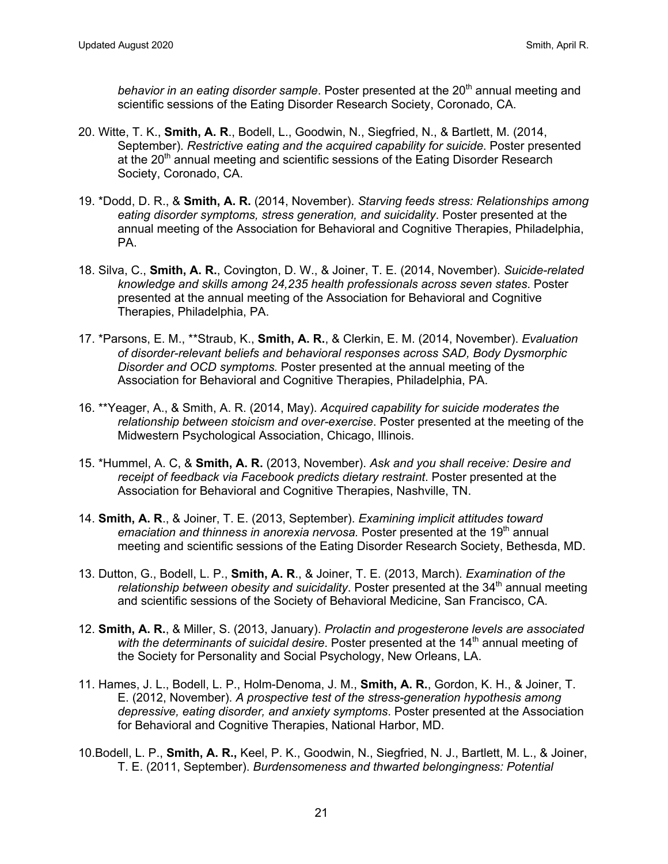behavior in an eating disorder sample. Poster presented at the 20<sup>th</sup> annual meeting and scientific sessions of the Eating Disorder Research Society, Coronado, CA.

- 20. Witte, T. K., **Smith, A. R**., Bodell, L., Goodwin, N., Siegfried, N., & Bartlett, M. (2014, September). *Restrictive eating and the acquired capability for suicide*. Poster presented at the 20<sup>th</sup> annual meeting and scientific sessions of the Eating Disorder Research Society, Coronado, CA.
- 19. \*Dodd, D. R., & **Smith, A. R.** (2014, November). *Starving feeds stress: Relationships among eating disorder symptoms, stress generation, and suicidality*. Poster presented at the annual meeting of the Association for Behavioral and Cognitive Therapies, Philadelphia, PA.
- 18. Silva, C., **Smith, A. R.**, Covington, D. W., & Joiner, T. E. (2014, November). *Suicide-related knowledge and skills among 24,235 health professionals across seven states*. Poster presented at the annual meeting of the Association for Behavioral and Cognitive Therapies, Philadelphia, PA.
- 17. \*Parsons, E. M., \*\*Straub, K., **Smith, A. R.**, & Clerkin, E. M. (2014, November). *Evaluation of disorder-relevant beliefs and behavioral responses across SAD, Body Dysmorphic Disorder and OCD symptoms.* Poster presented at the annual meeting of the Association for Behavioral and Cognitive Therapies, Philadelphia, PA.
- 16. \*\*Yeager, A., & Smith, A. R. (2014, May). *Acquired capability for suicide moderates the relationship between stoicism and over-exercise*. Poster presented at the meeting of the Midwestern Psychological Association, Chicago, Illinois.
- 15. \*Hummel, A. C, & **Smith, A. R.** (2013, November). *Ask and you shall receive: Desire and receipt of feedback via Facebook predicts dietary restraint*. Poster presented at the Association for Behavioral and Cognitive Therapies, Nashville, TN.
- 14. **Smith, A. R**., & Joiner, T. E. (2013, September). *Examining implicit attitudes toward emaciation and thinness in anorexia nervosa.* Poster presented at the 19<sup>th</sup> annual meeting and scientific sessions of the Eating Disorder Research Society, Bethesda, MD.
- 13. Dutton, G., Bodell, L. P., **Smith, A. R**., & Joiner, T. E. (2013, March). *Examination of the relationship between obesity and suicidality*. Poster presented at the 34<sup>th</sup> annual meeting and scientific sessions of the Society of Behavioral Medicine, San Francisco, CA.
- 12. **Smith, A. R.**, & Miller, S. (2013, January). *Prolactin and progesterone levels are associated with the determinants of suicidal desire.* Poster presented at the 14<sup>th</sup> annual meeting of the Society for Personality and Social Psychology, New Orleans, LA.
- 11. Hames, J. L., Bodell, L. P., Holm-Denoma, J. M., **Smith, A. R.**, Gordon, K. H., & Joiner, T. E. (2012, November). *A prospective test of the stress-generation hypothesis among depressive, eating disorder, and anxiety symptoms*. Poster presented at the Association for Behavioral and Cognitive Therapies, National Harbor, MD.
- 10.Bodell, L. P., **Smith, A. R.,** Keel, P. K., Goodwin, N., Siegfried, N. J., Bartlett, M. L., & Joiner, T. E. (2011, September). *Burdensomeness and thwarted belongingness: Potential*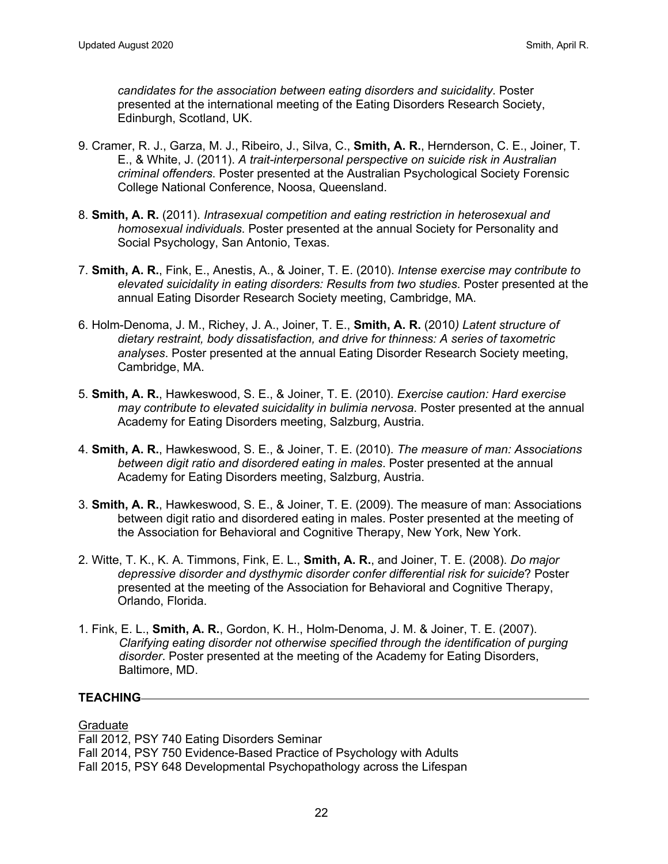*candidates for the association between eating disorders and suicidality*. Poster presented at the international meeting of the Eating Disorders Research Society, Edinburgh, Scotland, UK.

- 9. Cramer, R. J., Garza, M. J., Ribeiro, J., Silva, C., **Smith, A. R.**, Hernderson, C. E., Joiner, T. E., & White, J. (2011). *A trait-interpersonal perspective on suicide risk in Australian criminal offenders*. Poster presented at the Australian Psychological Society Forensic College National Conference, Noosa, Queensland.
- 8. **Smith, A. R.** (2011). *Intrasexual competition and eating restriction in heterosexual and homosexual individuals*. Poster presented at the annual Society for Personality and Social Psychology, San Antonio, Texas.
- 7. **Smith, A. R.**, Fink, E., Anestis, A., & Joiner, T. E. (2010). *Intense exercise may contribute to elevated suicidality in eating disorders: Results from two studies*. Poster presented at the annual Eating Disorder Research Society meeting, Cambridge, MA.
- 6. Holm-Denoma, J. M., Richey, J. A., Joiner, T. E., **Smith, A. R.** (2010*) Latent structure of dietary restraint, body dissatisfaction, and drive for thinness: A series of taxometric analyses*. Poster presented at the annual Eating Disorder Research Society meeting, Cambridge, MA.
- 5. **Smith, A. R.**, Hawkeswood, S. E., & Joiner, T. E. (2010). *Exercise caution: Hard exercise may contribute to elevated suicidality in bulimia nervosa*. Poster presented at the annual Academy for Eating Disorders meeting, Salzburg, Austria.
- 4. **Smith, A. R.**, Hawkeswood, S. E., & Joiner, T. E. (2010). *The measure of man: Associations between digit ratio and disordered eating in males*. Poster presented at the annual Academy for Eating Disorders meeting, Salzburg, Austria.
- 3. **Smith, A. R.**, Hawkeswood, S. E., & Joiner, T. E. (2009). The measure of man: Associations between digit ratio and disordered eating in males. Poster presented at the meeting of the Association for Behavioral and Cognitive Therapy, New York, New York.
- 2. Witte, T. K., K. A. Timmons, Fink, E. L., **Smith, A. R.**, and Joiner, T. E. (2008). *Do major depressive disorder and dysthymic disorder confer differential risk for suicide*? Poster presented at the meeting of the Association for Behavioral and Cognitive Therapy, Orlando, Florida.
- 1. Fink, E. L., **Smith, A. R.**, Gordon, K. H., Holm-Denoma, J. M. & Joiner, T. E. (2007). *Clarifying eating disorder not otherwise specified through the identification of purging disorder*. Poster presented at the meeting of the Academy for Eating Disorders, Baltimore, MD.

## **TEACHING**

#### **Graduate**

Fall 2012, PSY 740 Eating Disorders Seminar Fall 2014, PSY 750 Evidence-Based Practice of Psychology with Adults Fall 2015, PSY 648 Developmental Psychopathology across the Lifespan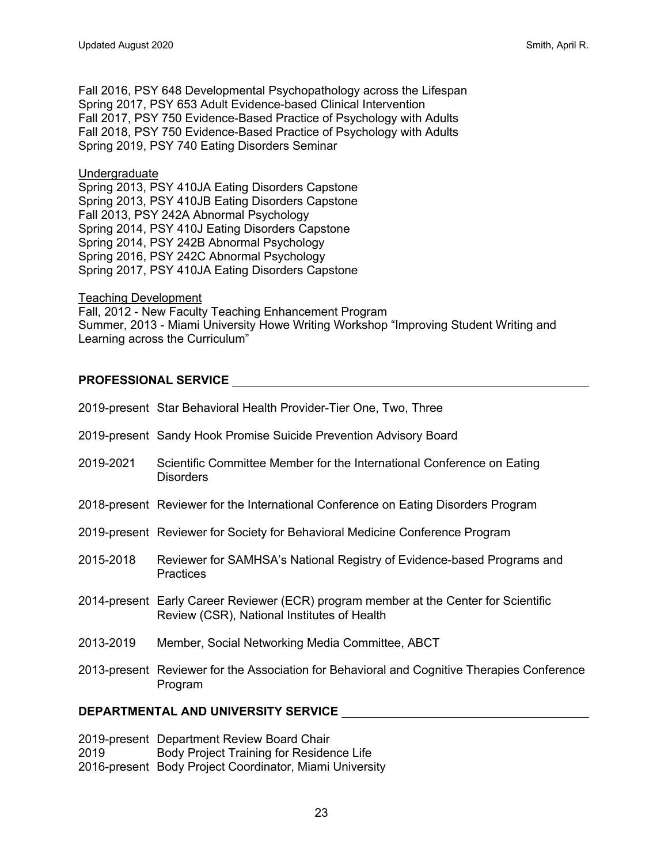Fall 2016, PSY 648 Developmental Psychopathology across the Lifespan Spring 2017, PSY 653 Adult Evidence-based Clinical Intervention Fall 2017, PSY 750 Evidence-Based Practice of Psychology with Adults Fall 2018, PSY 750 Evidence-Based Practice of Psychology with Adults Spring 2019, PSY 740 Eating Disorders Seminar

#### **Undergraduate**

Spring 2013, PSY 410JA Eating Disorders Capstone Spring 2013, PSY 410JB Eating Disorders Capstone Fall 2013, PSY 242A Abnormal Psychology Spring 2014, PSY 410J Eating Disorders Capstone Spring 2014, PSY 242B Abnormal Psychology Spring 2016, PSY 242C Abnormal Psychology Spring 2017, PSY 410JA Eating Disorders Capstone

Teaching Development

Fall, 2012 - New Faculty Teaching Enhancement Program Summer, 2013 - Miami University Howe Writing Workshop "Improving Student Writing and Learning across the Curriculum"

# **PROFESSIONAL SERVICE**

| 2019-present Star Behavioral Health Provider-Tier One, Two, Three                                                                   |
|-------------------------------------------------------------------------------------------------------------------------------------|
| 2019-present Sandy Hook Promise Suicide Prevention Advisory Board                                                                   |
| Scientific Committee Member for the International Conference on Eating<br><b>Disorders</b>                                          |
| 2018-present Reviewer for the International Conference on Eating Disorders Program                                                  |
| 2019-present Reviewer for Society for Behavioral Medicine Conference Program                                                        |
| Reviewer for SAMHSA's National Registry of Evidence-based Programs and<br>Practices                                                 |
| 2014-present Early Career Reviewer (ECR) program member at the Center for Scientific<br>Review (CSR), National Institutes of Health |
| Member, Social Networking Media Committee, ABCT                                                                                     |
| 2013-present Reviewer for the Association for Behavioral and Cognitive Therapies Conference<br>Program                              |
|                                                                                                                                     |

#### **DEPARTMENTAL AND UNIVERSITY SERVICE**

2019-present Department Review Board Chair 2019 Body Project Training for Residence Life 2016-present Body Project Coordinator, Miami University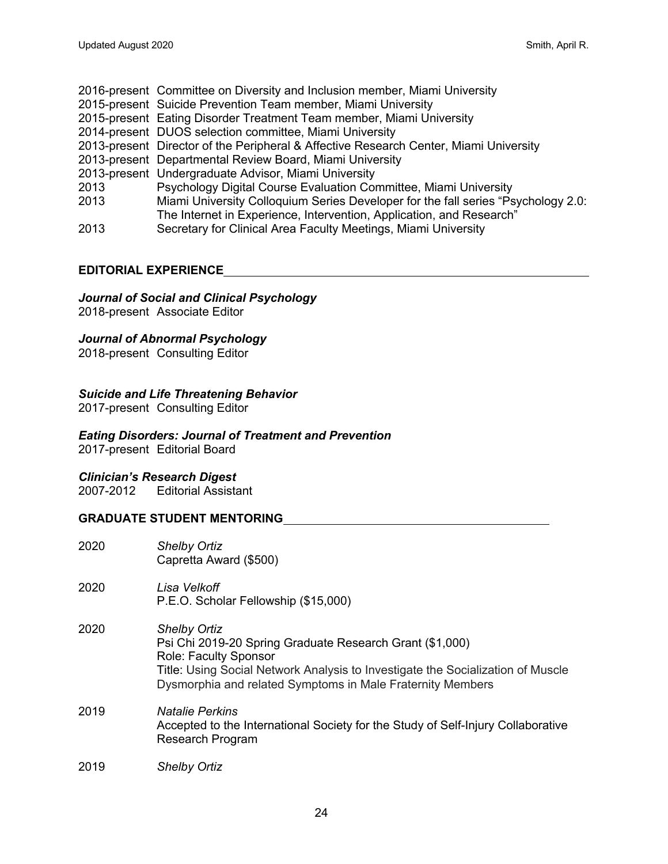- 2016-present Committee on Diversity and Inclusion member, Miami University
- 2015-present Suicide Prevention Team member, Miami University
- 2015-present Eating Disorder Treatment Team member, Miami University
- 2014-present DUOS selection committee, Miami University
- 2013-present Director of the Peripheral & Affective Research Center, Miami University
- 2013-present Departmental Review Board, Miami University
- 2013-present Undergraduate Advisor, Miami University

2013 Psychology Digital Course Evaluation Committee, Miami University

- 2013 Miami University Colloquium Series Developer for the fall series "Psychology 2.0:
- The Internet in Experience, Intervention, Application, and Research"
- 2013 Secretary for Clinical Area Faculty Meetings, Miami University

## **EDITORIAL EXPERIENCE**

# *Journal of Social and Clinical Psychology*

2018-present Associate Editor

# *Journal of Abnormal Psychology*

2018-present Consulting Editor

# *Suicide and Life Threatening Behavior*

2017-present Consulting Editor

# *Eating Disorders: Journal of Treatment and Prevention*

2017-present Editorial Board

## *Clinician's Research Digest*

2007-2012 Editorial Assistant

## **GRADUATE STUDENT MENTORING**

| 2020 | <b>Shelby Ortiz</b><br>Capretta Award (\$500)                                                                                                                                                                                                                    |
|------|------------------------------------------------------------------------------------------------------------------------------------------------------------------------------------------------------------------------------------------------------------------|
| 2020 | I isa Velkoff<br>P.E.O. Scholar Fellowship (\$15,000)                                                                                                                                                                                                            |
| 2020 | <b>Shelby Ortiz</b><br>Psi Chi 2019-20 Spring Graduate Research Grant (\$1,000)<br><b>Role: Faculty Sponsor</b><br>Title: Using Social Network Analysis to Investigate the Socialization of Muscle<br>Dysmorphia and related Symptoms in Male Fraternity Members |
| 2019 | Natalie Perkins<br>Accepted to the International Society for the Study of Self-Injury Collaborative<br><b>Research Program</b>                                                                                                                                   |
| 2019 | <b>Shelby Ortiz</b>                                                                                                                                                                                                                                              |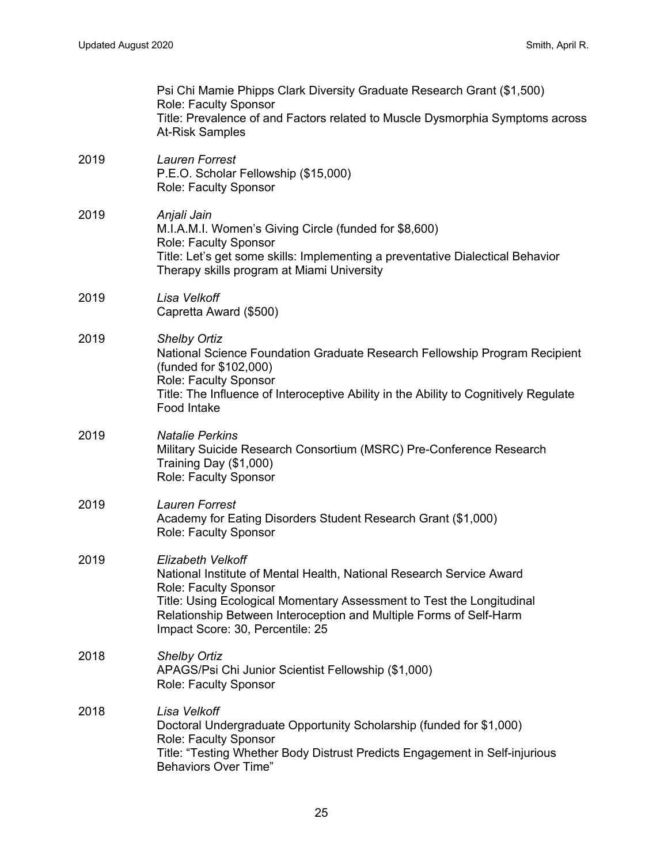|      | Psi Chi Mamie Phipps Clark Diversity Graduate Research Grant (\$1,500)<br><b>Role: Faculty Sponsor</b><br>Title: Prevalence of and Factors related to Muscle Dysmorphia Symptoms across<br>At-Risk Samples                                                                                                          |
|------|---------------------------------------------------------------------------------------------------------------------------------------------------------------------------------------------------------------------------------------------------------------------------------------------------------------------|
| 2019 | Lauren Forrest<br>P.E.O. Scholar Fellowship (\$15,000)<br>Role: Faculty Sponsor                                                                                                                                                                                                                                     |
| 2019 | Anjali Jain<br>M.I.A.M.I. Women's Giving Circle (funded for \$8,600)<br><b>Role: Faculty Sponsor</b><br>Title: Let's get some skills: Implementing a preventative Dialectical Behavior<br>Therapy skills program at Miami University                                                                                |
| 2019 | Lisa Velkoff<br>Capretta Award (\$500)                                                                                                                                                                                                                                                                              |
| 2019 | <b>Shelby Ortiz</b><br>National Science Foundation Graduate Research Fellowship Program Recipient<br>(funded for \$102,000)<br><b>Role: Faculty Sponsor</b><br>Title: The Influence of Interoceptive Ability in the Ability to Cognitively Regulate<br>Food Intake                                                  |
| 2019 | <b>Natalie Perkins</b><br>Military Suicide Research Consortium (MSRC) Pre-Conference Research<br>Training Day (\$1,000)<br>Role: Faculty Sponsor                                                                                                                                                                    |
| 2019 | Lauren Forrest<br>Academy for Eating Disorders Student Research Grant (\$1,000)<br>Role: Faculty Sponsor                                                                                                                                                                                                            |
| 2019 | <b>Elizabeth Velkoff</b><br>National Institute of Mental Health, National Research Service Award<br><b>Role: Faculty Sponsor</b><br>Title: Using Ecological Momentary Assessment to Test the Longitudinal<br>Relationship Between Interoception and Multiple Forms of Self-Harm<br>Impact Score: 30, Percentile: 25 |
| 2018 | <b>Shelby Ortiz</b><br>APAGS/Psi Chi Junior Scientist Fellowship (\$1,000)<br><b>Role: Faculty Sponsor</b>                                                                                                                                                                                                          |
| 2018 | Lisa Velkoff<br>Doctoral Undergraduate Opportunity Scholarship (funded for \$1,000)<br>Role: Faculty Sponsor<br>Title: "Testing Whether Body Distrust Predicts Engagement in Self-injurious<br><b>Behaviors Over Time"</b>                                                                                          |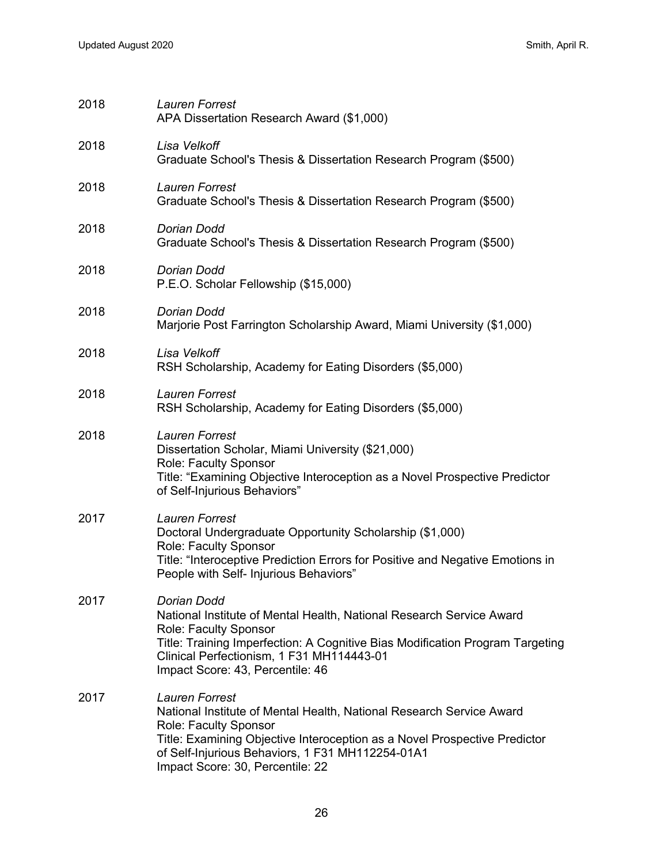| 2018 | <b>Lauren Forrest</b><br>APA Dissertation Research Award (\$1,000)                                                                                                                                                                                                                          |
|------|---------------------------------------------------------------------------------------------------------------------------------------------------------------------------------------------------------------------------------------------------------------------------------------------|
| 2018 | Lisa Velkoff<br>Graduate School's Thesis & Dissertation Research Program (\$500)                                                                                                                                                                                                            |
| 2018 | Lauren Forrest<br>Graduate School's Thesis & Dissertation Research Program (\$500)                                                                                                                                                                                                          |
| 2018 | Dorian Dodd<br>Graduate School's Thesis & Dissertation Research Program (\$500)                                                                                                                                                                                                             |
| 2018 | Dorian Dodd<br>P.E.O. Scholar Fellowship (\$15,000)                                                                                                                                                                                                                                         |
| 2018 | Dorian Dodd<br>Marjorie Post Farrington Scholarship Award, Miami University (\$1,000)                                                                                                                                                                                                       |
| 2018 | Lisa Velkoff<br>RSH Scholarship, Academy for Eating Disorders (\$5,000)                                                                                                                                                                                                                     |
| 2018 | <b>Lauren Forrest</b><br>RSH Scholarship, Academy for Eating Disorders (\$5,000)                                                                                                                                                                                                            |
| 2018 | <b>Lauren Forrest</b><br>Dissertation Scholar, Miami University (\$21,000)<br>Role: Faculty Sponsor<br>Title: "Examining Objective Interoception as a Novel Prospective Predictor<br>of Self-Injurious Behaviors"                                                                           |
| 2017 | <b>Lauren Forrest</b><br>Doctoral Undergraduate Opportunity Scholarship (\$1,000)<br><b>Role: Faculty Sponsor</b><br>Title: "Interoceptive Prediction Errors for Positive and Negative Emotions in<br>People with Self- Injurious Behaviors"                                                |
| 2017 | Dorian Dodd<br>National Institute of Mental Health, National Research Service Award<br>Role: Faculty Sponsor<br>Title: Training Imperfection: A Cognitive Bias Modification Program Targeting<br>Clinical Perfectionism, 1 F31 MH114443-01<br>Impact Score: 43, Percentile: 46              |
| 2017 | <b>Lauren Forrest</b><br>National Institute of Mental Health, National Research Service Award<br>Role: Faculty Sponsor<br>Title: Examining Objective Interoception as a Novel Prospective Predictor<br>of Self-Injurious Behaviors, 1 F31 MH112254-01A1<br>Impact Score: 30, Percentile: 22 |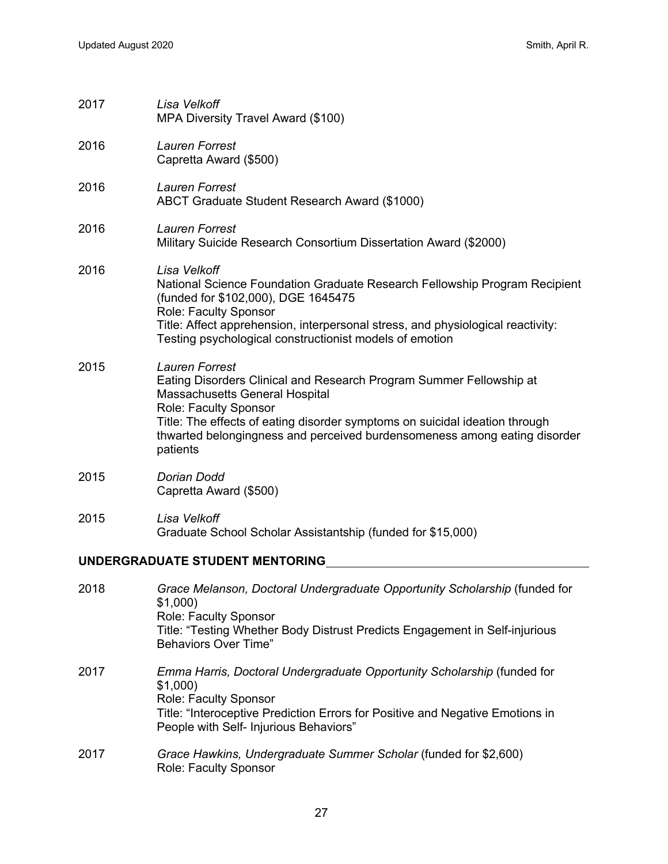| 2017                            | Lisa Velkoff<br>MPA Diversity Travel Award (\$100)                                                                                                                                                                                                                                                                              |
|---------------------------------|---------------------------------------------------------------------------------------------------------------------------------------------------------------------------------------------------------------------------------------------------------------------------------------------------------------------------------|
| 2016                            | Lauren Forrest<br>Capretta Award (\$500)                                                                                                                                                                                                                                                                                        |
| 2016                            | <b>Lauren Forrest</b><br>ABCT Graduate Student Research Award (\$1000)                                                                                                                                                                                                                                                          |
| 2016                            | <b>Lauren Forrest</b><br>Military Suicide Research Consortium Dissertation Award (\$2000)                                                                                                                                                                                                                                       |
| 2016                            | Lisa Velkoff<br>National Science Foundation Graduate Research Fellowship Program Recipient<br>(funded for \$102,000), DGE 1645475<br>Role: Faculty Sponsor<br>Title: Affect apprehension, interpersonal stress, and physiological reactivity:<br>Testing psychological constructionist models of emotion                        |
| 2015                            | <b>Lauren Forrest</b><br>Eating Disorders Clinical and Research Program Summer Fellowship at<br>Massachusetts General Hospital<br>Role: Faculty Sponsor<br>Title: The effects of eating disorder symptoms on suicidal ideation through<br>thwarted belongingness and perceived burdensomeness among eating disorder<br>patients |
| 2015                            | Dorian Dodd<br>Capretta Award (\$500)                                                                                                                                                                                                                                                                                           |
| 2015                            | Lisa Velkoff<br>Graduate School Scholar Assistantship (funded for \$15,000)                                                                                                                                                                                                                                                     |
| UNDERGRADUATE STUDENT MENTORING |                                                                                                                                                                                                                                                                                                                                 |
| 2018                            | Grace Melanson, Doctoral Undergraduate Opportunity Scholarship (funded for<br>\$1,000)<br>Role: Faculty Sponsor<br>Title: "Testing Whether Body Distrust Predicts Engagement in Self-injurious<br><b>Behaviors Over Time"</b>                                                                                                   |
| 2017                            | Emma Harris, Doctoral Undergraduate Opportunity Scholarship (funded for<br>\$1,000)<br>Role: Faculty Sponsor<br>Title: "Interoceptive Prediction Errors for Positive and Negative Emotions in                                                                                                                                   |

- People with Self- Injurious Behaviors"
- 2017 *Grace Hawkins, Undergraduate Summer Scholar* (funded for \$2,600) Role: Faculty Sponsor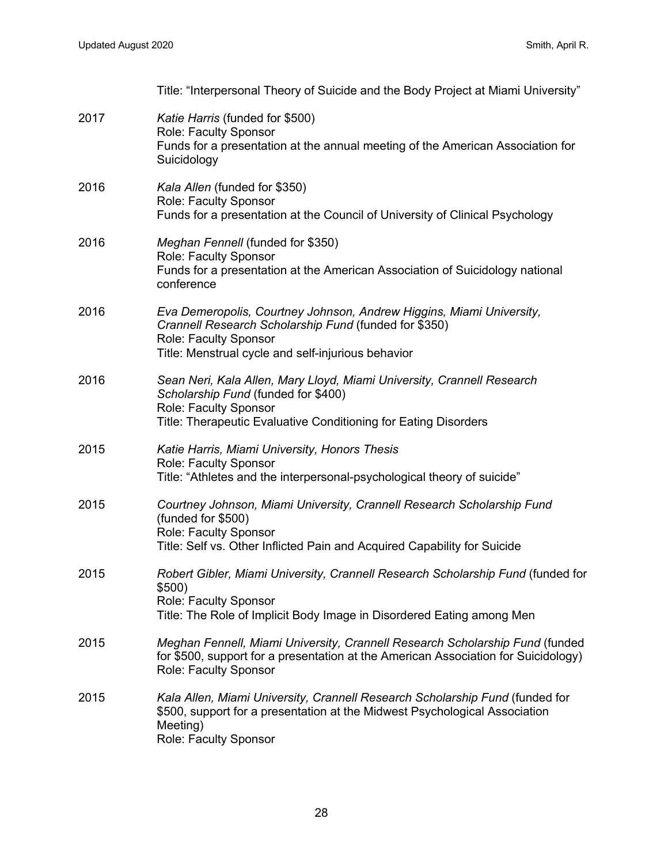|      | Title: "Interpersonal Theory of Suicide and the Body Project at Miami University"                                                                                                                            |
|------|--------------------------------------------------------------------------------------------------------------------------------------------------------------------------------------------------------------|
| 2017 | Katie Harris (funded for \$500)<br>Role: Faculty Sponsor<br>Funds for a presentation at the annual meeting of the American Association for<br>Suicidology                                                    |
| 2016 | Kala Allen (funded for \$350)<br>Role: Faculty Sponsor<br>Funds for a presentation at the Council of University of Clinical Psychology                                                                       |
| 2016 | Meghan Fennell (funded for \$350)<br>Role: Faculty Sponsor<br>Funds for a presentation at the American Association of Suicidology national<br>conference                                                     |
| 2016 | Eva Demeropolis, Courtney Johnson, Andrew Higgins, Miami University,<br>Crannell Research Scholarship Fund (funded for \$350)<br>Role: Faculty Sponsor<br>Title: Menstrual cycle and self-injurious behavior |
| 2016 | Sean Neri, Kala Allen, Mary Lloyd, Miami University, Crannell Research<br>Scholarship Fund (funded for \$400)<br>Role: Faculty Sponsor<br>Title: Therapeutic Evaluative Conditioning for Eating Disorders    |
| 2015 | Katie Harris, Miami University, Honors Thesis<br>Role: Faculty Sponsor<br>Title: "Athletes and the interpersonal-psychological theory of suicide"                                                            |
| 2015 | Courtney Johnson, Miami University, Crannell Research Scholarship Fund<br>(funded for \$500)<br>Role: Faculty Sponsor<br>Title: Self vs. Other Inflicted Pain and Acquired Capability for Suicide            |
| 2015 | Robert Gibler, Miami University, Crannell Research Scholarship Fund (funded for<br>\$500)<br>Role: Faculty Sponsor<br>Title: The Role of Implicit Body Image in Disordered Eating among Men                  |
| 2015 | Meghan Fennell, Miami University, Crannell Research Scholarship Fund (funded<br>for \$500, support for a presentation at the American Association for Suicidology)<br><b>Role: Faculty Sponsor</b>           |
| 2015 | Kala Allen, Miami University, Crannell Research Scholarship Fund (funded for<br>\$500, support for a presentation at the Midwest Psychological Association<br>Meeting)<br>Role: Faculty Sponsor              |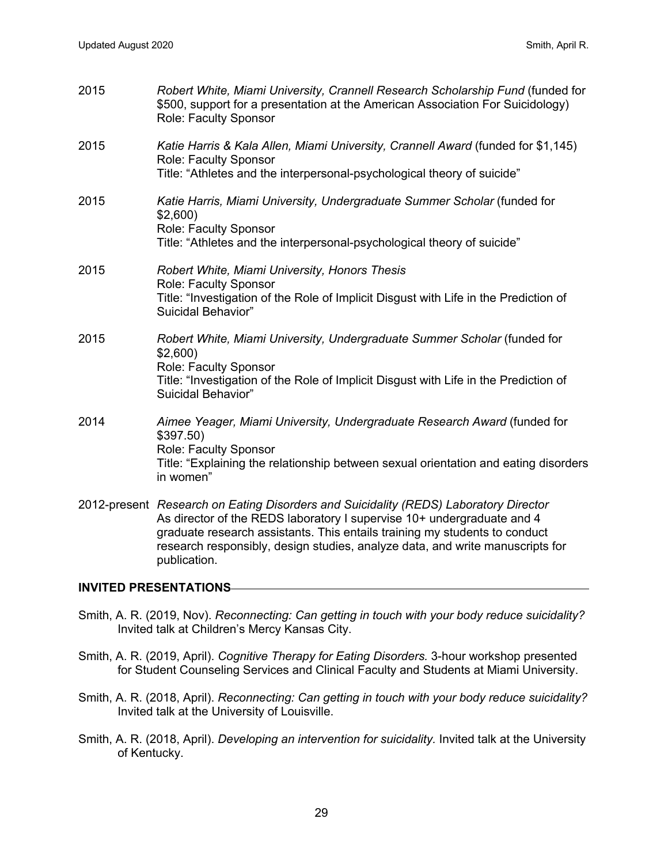| 2015 | Robert White, Miami University, Crannell Research Scholarship Fund (funded for<br>\$500, support for a presentation at the American Association For Suicidology)<br>Role: Faculty Sponsor                                                                                                                                                     |
|------|-----------------------------------------------------------------------------------------------------------------------------------------------------------------------------------------------------------------------------------------------------------------------------------------------------------------------------------------------|
| 2015 | Katie Harris & Kala Allen, Miami University, Crannell Award (funded for \$1,145)<br>Role: Faculty Sponsor<br>Title: "Athletes and the interpersonal-psychological theory of suicide"                                                                                                                                                          |
| 2015 | Katie Harris, Miami University, Undergraduate Summer Scholar (funded for<br>\$2,600<br>Role: Faculty Sponsor<br>Title: "Athletes and the interpersonal-psychological theory of suicide"                                                                                                                                                       |
| 2015 | Robert White, Miami University, Honors Thesis<br>Role: Faculty Sponsor<br>Title: "Investigation of the Role of Implicit Disgust with Life in the Prediction of<br>Suicidal Behavior"                                                                                                                                                          |
| 2015 | Robert White, Miami University, Undergraduate Summer Scholar (funded for<br>\$2,600<br>Role: Faculty Sponsor<br>Title: "Investigation of the Role of Implicit Disgust with Life in the Prediction of<br>Suicidal Behavior"                                                                                                                    |
| 2014 | Aimee Yeager, Miami University, Undergraduate Research Award (funded for<br>$$397.50$ )<br>Role: Faculty Sponsor<br>Title: "Explaining the relationship between sexual orientation and eating disorders<br>in women"                                                                                                                          |
|      | 2012-present Research on Eating Disorders and Suicidality (REDS) Laboratory Director<br>As director of the REDS laboratory I supervise 10+ undergraduate and 4<br>graduate research assistants. This entails training my students to conduct<br>research responsibly, design studies, analyze data, and write manuscripts for<br>publication. |

#### **INVITED PRESENTATIONS**

- Smith, A. R. (2019, Nov). *Reconnecting: Can getting in touch with your body reduce suicidality?* Invited talk at Children's Mercy Kansas City.
- Smith, A. R. (2019, April). *Cognitive Therapy for Eating Disorders.* 3-hour workshop presented for Student Counseling Services and Clinical Faculty and Students at Miami University.
- Smith, A. R. (2018, April). *Reconnecting: Can getting in touch with your body reduce suicidality?* Invited talk at the University of Louisville.
- Smith, A. R. (2018, April). *Developing an intervention for suicidality.* Invited talk at the University of Kentucky.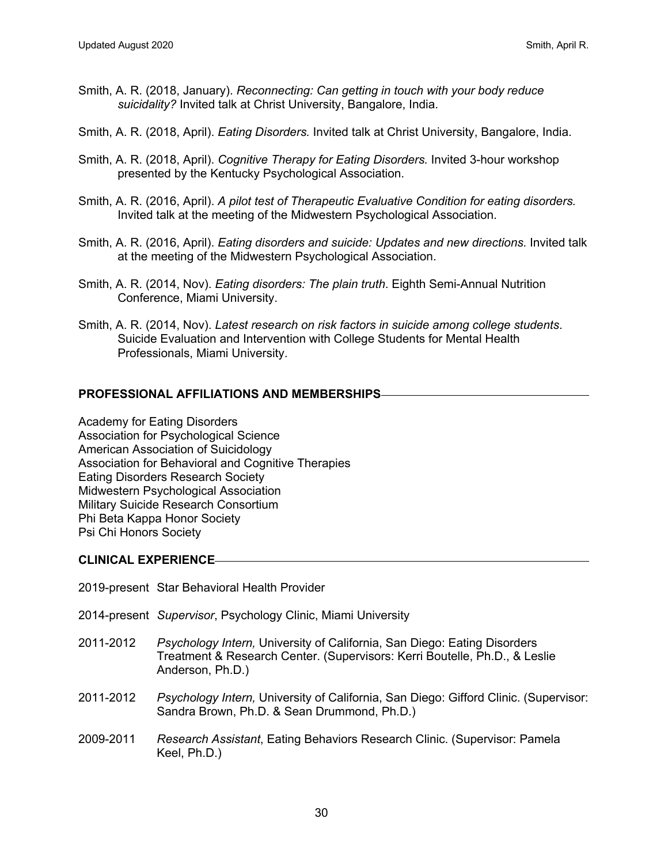- Smith, A. R. (2018, January). *Reconnecting: Can getting in touch with your body reduce suicidality?* Invited talk at Christ University, Bangalore, India.
- Smith, A. R. (2018, April). *Eating Disorders.* Invited talk at Christ University, Bangalore, India.
- Smith, A. R. (2018, April). *Cognitive Therapy for Eating Disorders.* Invited 3-hour workshop presented by the Kentucky Psychological Association.
- Smith, A. R. (2016, April). *A pilot test of Therapeutic Evaluative Condition for eating disorders.* Invited talk at the meeting of the Midwestern Psychological Association.
- Smith, A. R. (2016, April). *Eating disorders and suicide: Updates and new directions.* Invited talk at the meeting of the Midwestern Psychological Association.
- Smith, A. R. (2014, Nov). *Eating disorders: The plain truth*. Eighth Semi-Annual Nutrition Conference, Miami University.
- Smith, A. R. (2014, Nov). *Latest research on risk factors in suicide among college students*. Suicide Evaluation and Intervention with College Students for Mental Health Professionals, Miami University.

#### **PROFESSIONAL AFFILIATIONS AND MEMBERSHIPS**

Academy for Eating Disorders Association for Psychological Science American Association of Suicidology Association for Behavioral and Cognitive Therapies Eating Disorders Research Society Midwestern Psychological Association Military Suicide Research Consortium Phi Beta Kappa Honor Society Psi Chi Honors Society

#### **CLINICAL EXPERIENCE**

- 2019-present Star Behavioral Health Provider
- 2014-present *Supervisor*, Psychology Clinic, Miami University
- 2011-2012 *Psychology Intern,* University of California, San Diego: Eating Disorders Treatment & Research Center. (Supervisors: Kerri Boutelle, Ph.D., & Leslie Anderson, Ph.D.)
- 2011-2012 *Psychology Intern,* University of California, San Diego: Gifford Clinic. (Supervisor: Sandra Brown, Ph.D. & Sean Drummond, Ph.D.)
- 2009-2011 *Research Assistant*, Eating Behaviors Research Clinic. (Supervisor: Pamela Keel, Ph.D.)